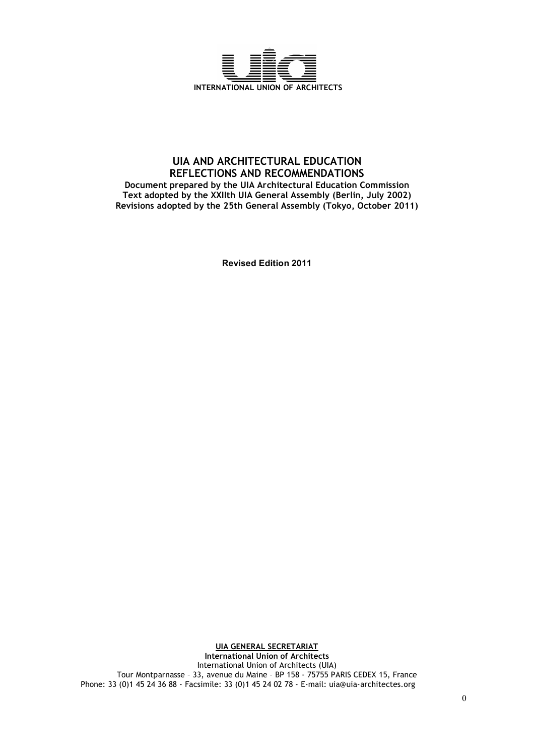

# **UIA AND ARCHITECTURAL EDUCATION REFLECTIONS AND RECOMMENDATIONS Document prepared by the UIA Architectural Education Commission Text adopted by the XXIIth UIA General Assembly (Berlin, July 2002) Revisions adopted by the 25th General Assembly (Tokyo, October 2011)**

**Revised Edition 2011**

**UIA GENERAL SECRETARIAT International Union of Architects** International Union of Architects (UIA) Tour Montparnasse – 33, avenue du Maine – BP 158 - 75755 PARIS CEDEX 15, France Phone: 33 (0)1 45 24 36 88 - Facsimile: 33 (0)1 45 24 02 78 - E-mail: uia@uia-architectes.org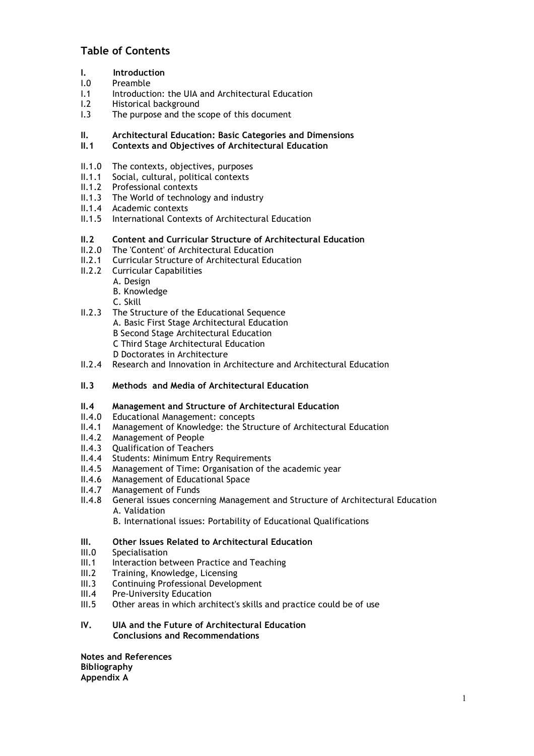# **Table of Contents**

- **I. Introduction**
- I.0 Preamble
- I.1 Introduction: the UIA and Architectural Education
- I.2 Historical background
- I.3 The purpose and the scope of this document

# **II. Architectural Education: Basic Categories and Dimensions**

- **II.1 Contexts and Objectives of Architectural Education**
- 
- II.1.0 The contexts, objectives, purposes<br>II.1.1 Social, cultural, political contexts Social, cultural, political contexts
- II.1.2 Professional contexts
- II.1.3 The World of technology and industry
- II.1.4 Academic contexts
- II.1.5 International Contexts of Architectural Education

# **II.2 Content and Curricular Structure of Architectural Education**

- II.2.0 The 'Content' of Architectural Education
- II.2.1 Curricular Structure of Architectural Education
- II.2.2 Curricular Capabilities
	- A. Design
	- B. Knowledge
	- C. Skill
- II.2.3 The Structure of the Educational Sequence A. Basic First Stage Architectural Education B Second Stage Architectural Education C Third Stage Architectural Education D Doctorates in Architecture
- II.2.4 Research and Innovation in Architecture and Architectural Education
- **II.3 Methods and Media of Architectural Education**

# **II.4 Management and Structure of Architectural Education**

- II.4.0 Educational Management: concepts
- II.4.1 Management of Knowledge: the Structure of Architectural Education
- II.4.2 Management of People
- II.4.3 Qualification of Teachers
- II.4.4 Students: Minimum Entry Requirements
- II.4.5 Management of Time: Organisation of the academic year
- II.4.6 Management of Educational Space
- II.4.7 Management of Funds
- II.4.8 General issues concerning Management and Structure of Architectural Education A. Validation
	- B. International issues: Portability of Educational Qualifications

# **III. Other Issues Related to Architectural Education**

- III.0 Specialisation
- III.1 Interaction between Practice and Teaching
- III.2 Training, Knowledge, Licensing
- III.3 Continuing Professional Development<br>III.4 Pre-University Education
- Pre-University Education
- III.5 Other areas in which architect's skills and practice could be of use

# **IV. UIA and the Future of Architectural Education Conclusions and Recommendations**

**Notes and References Bibliography Appendix A**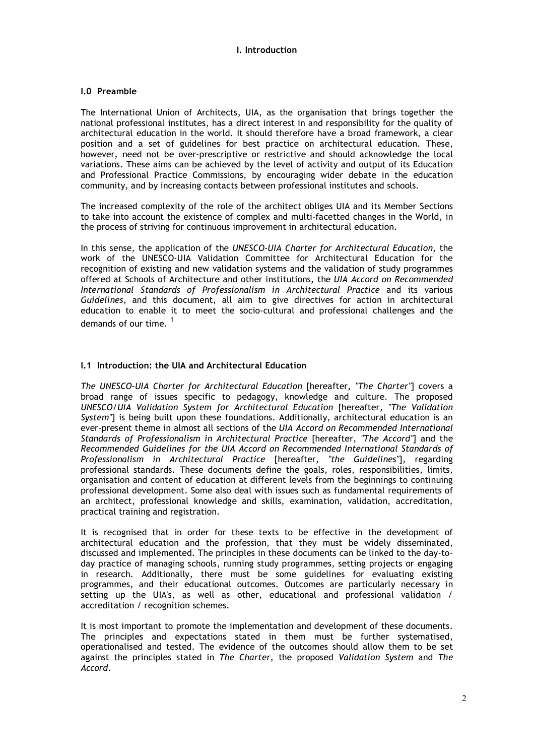# **I. Introduction**

#### **I.0 Preamble**

The International Union of Architects, UIA, as the organisation that brings together the national professional institutes, has a direct interest in and responsibility for the quality of architectural education in the world. It should therefore have a broad framework, a clear position and a set of guidelines for best practice on architectural education. These, however, need not be over-prescriptive or restrictive and should acknowledge the local variations. These aims can be achieved by the level of activity and output of its Education and Professional Practice Commissions, by encouraging wider debate in the education community, and by increasing contacts between professional institutes and schools.

The increased complexity of the role of the architect obliges UIA and its Member Sections to take into account the existence of complex and multi-facetted changes in the World, in the process of striving for continuous improvement in architectural education.

In this sense, the application of the *UNESCO-UIA Charter for Architectural Education*, the work of the UNESCO-UIA Validation Committee for Architectural Education for the recognition of existing and new validation systems and the validation of study programmes offered at Schools of Architecture and other institutions, the *UIA Accord on Recommended International Standards of Professionalism in Architectural Practice* and its various *Guidelines*, and this document, all aim to give directives for action in architectural education to enable it to meet the socio-cultural and professional challenges and the demands of our time.<sup>1</sup>

#### **I.1 Introduction: the UIA and Architectural Education**

*The UNESCO-UIA Charter for Architectural Education* [hereafter, *"The Charter"*] covers a broad range of issues specific to pedagogy, knowledge and culture. The proposed *UNESCO/UIA Validation System for Architectural Education* [hereafter, *"The Validation System"*] is being built upon these foundations. Additionally, architectural education is an ever-present theme in almost all sections of the *UIA Accord on Recommended International Standards of Professionalism in Architectural Practice* [hereafter, *"The Accord"*] and the *Recommended Guidelines for the UIA Accord on Recommended International Standards of Professionalism in Architectural Practice* [hereafter, *"the Guidelines"*], regarding professional standards. These documents define the goals, roles, responsibilities, limits, organisation and content of education at different levels from the beginnings to continuing professional development. Some also deal with issues such as fundamental requirements of an architect, professional knowledge and skills, examination, validation, accreditation, practical training and registration.

It is recognised that in order for these texts to be effective in the development of architectural education and the profession, that they must be widely disseminated, discussed and implemented. The principles in these documents can be linked to the day-today practice of managing schools, running study programmes, setting projects or engaging in research. Additionally, there must be some guidelines for evaluating existing programmes, and their educational outcomes. Outcomes are particularly necessary in setting up the UIA's, as well as other, educational and professional validation / accreditation / recognition schemes.

It is most important to promote the implementation and development of these documents. The principles and expectations stated in them must be further systematised, operationalised and tested. The evidence of the outcomes should allow them to be set against the principles stated in *The Charter,* the proposed *Validation System* and *The Accord*.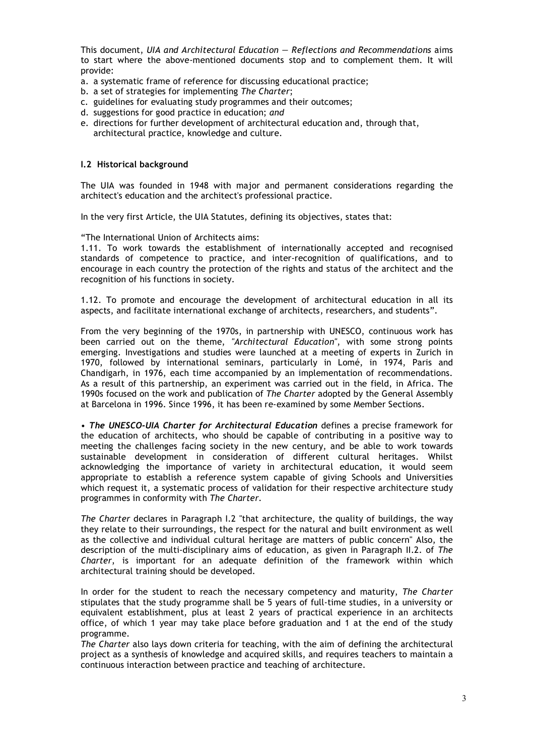This document, *UIA and Architectural Education — Reflections and Recommendations* aims to start where the above-mentioned documents stop and to complement them. It will provide:

- a. a systematic frame of reference for discussing educational practice;
- b. a set of strategies for implementing *The Charter*;
- c. guidelines for evaluating study programmes and their outcomes;
- d. suggestions for good practice in education; *and*
- e. directions for further development of architectural education and, through that, architectural practice, knowledge and culture.

#### **I.2 Historical background**

The UIA was founded in 1948 with major and permanent considerations regarding the architect's education and the architect's professional practice.

In the very first Article, the UIA Statutes, defining its objectives, states that:

"The International Union of Architects aims:

1.11. To work towards the establishment of internationally accepted and recognised standards of competence to practice, and inter-recognition of qualifications, and to encourage in each country the protection of the rights and status of the architect and the recognition of his functions in society.

1.12. To promote and encourage the development of architectural education in all its aspects, and facilitate international exchange of architects, researchers, and students".

From the very beginning of the 1970s, in partnership with UNESCO, continuous work has been carried out on the theme, *"Architectural Education"*, with some strong points emerging. Investigations and studies were launched at a meeting of experts in Zurich in 1970, followed by international seminars, particularly in Lomé, in 1974, Paris and Chandigarh, in 1976, each time accompanied by an implementation of recommendations. As a result of this partnership, an experiment was carried out in the field, in Africa. The 1990s focused on the work and publication of *The Charter* adopted by the General Assembly at Barcelona in 1996. Since 1996, it has been re-examined by some Member Sections.

• *The UNESCO-UIA Charter for Architectural Education* defines a precise framework for the education of architects, who should be capable of contributing in a positive way to meeting the challenges facing society in the new century, and be able to work towards sustainable development in consideration of different cultural heritages. Whilst acknowledging the importance of variety in architectural education, it would seem appropriate to establish a reference system capable of giving Schools and Universities which request it, a systematic process of validation for their respective architecture study programmes in conformity with *The Charter.*

*The Charter* declares in Paragraph I.2 "that architecture, the quality of buildings, the way they relate to their surroundings, the respect for the natural and built environment as well as the collective and individual cultural heritage are matters of public concern" Also, the description of the multi-disciplinary aims of education, as given in Paragraph II.2. of *The Charter*, is important for an adequate definition of the framework within which architectural training should be developed.

In order for the student to reach the necessary competency and maturity, *The Charter* stipulates that the study programme shall be 5 years of full-time studies, in a university or equivalent establishment, plus at least 2 years of practical experience in an architects office, of which 1 year may take place before graduation and 1 at the end of the study programme.

*The Charter* also lays down criteria for teaching, with the aim of defining the architectural project as a synthesis of knowledge and acquired skills, and requires teachers to maintain a continuous interaction between practice and teaching of architecture.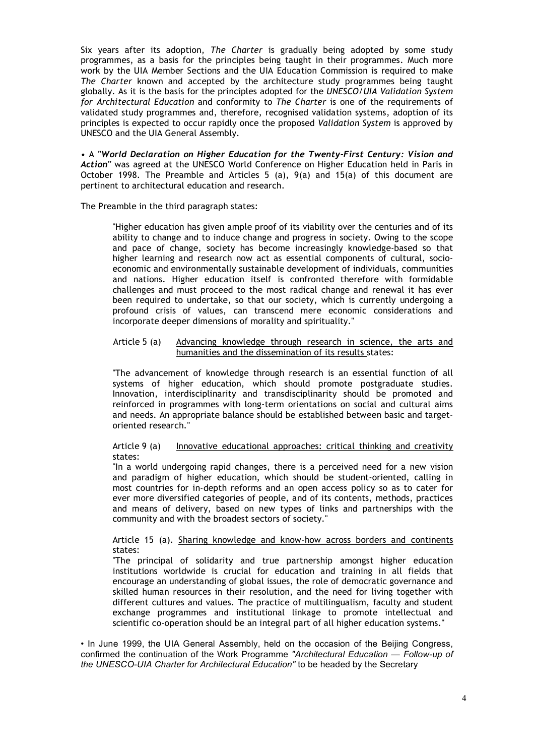Six years after its adoption, *The Charter* is gradually being adopted by some study programmes, as a basis for the principles being taught in their programmes. Much more work by the UIA Member Sections and the UIA Education Commission is required to make *The Charter* known and accepted by the architecture study programmes being taught globally. As it is the basis for the principles adopted for the *UNESCO/UIA Validation System for Architectural Education* and conformity to *The Charter* is one of the requirements of validated study programmes and, therefore, recognised validation systems, adoption of its principles is expected to occur rapidly once the proposed *Validation System* is approved by UNESCO and the UIA General Assembly.

• A *"World Declaration on Higher Education for the Twenty-First Century: Vision and Action"* was agreed at the UNESCO World Conference on Higher Education held in Paris in October 1998. The Preamble and Articles 5 (a), 9(a) and 15(a) of this document are pertinent to architectural education and research.

The Preamble in the third paragraph states:

"Higher education has given ample proof of its viability over the centuries and of its ability to change and to induce change and progress in society. Owing to the scope and pace of change, society has become increasingly knowledge-based so that higher learning and research now act as essential components of cultural, socioeconomic and environmentally sustainable development of individuals, communities and nations. Higher education itself is confronted therefore with formidable challenges and must proceed to the most radical change and renewal it has ever been required to undertake, so that our society, which is currently undergoing a profound crisis of values, can transcend mere economic considerations and incorporate deeper dimensions of morality and spirituality."

#### Article 5 (a) Advancing knowledge through research in science, the arts and humanities and the dissemination of its results states:

"The advancement of knowledge through research is an essential function of all systems of higher education, which should promote postgraduate studies. Innovation, interdisciplinarity and transdisciplinarity should be promoted and reinforced in programmes with long-term orientations on social and cultural aims and needs. An appropriate balance should be established between basic and targetoriented research."

#### Article 9 (a) Innovative educational approaches: critical thinking and creativity states:

"In a world undergoing rapid changes, there is a perceived need for a new vision and paradigm of higher education, which should be student-oriented, calling in most countries for in-depth reforms and an open access policy so as to cater for ever more diversified categories of people, and of its contents, methods, practices and means of delivery, based on new types of links and partnerships with the community and with the broadest sectors of society."

#### Article 15 (a). Sharing knowledge and know-how across borders and continents states:

"The principal of solidarity and true partnership amongst higher education institutions worldwide is crucial for education and training in all fields that encourage an understanding of global issues, the role of democratic governance and skilled human resources in their resolution, and the need for living together with different cultures and values. The practice of multilingualism, faculty and student exchange programmes and institutional linkage to promote intellectual and scientific co-operation should be an integral part of all higher education systems."

• In June 1999, the UIA General Assembly, held on the occasion of the Beijing Congress, confirmed the continuation of the Work Programme *"Architectural Education — Follow-up of the UNESCO-UIA Charter for Architectural Education"* to be headed by the Secretary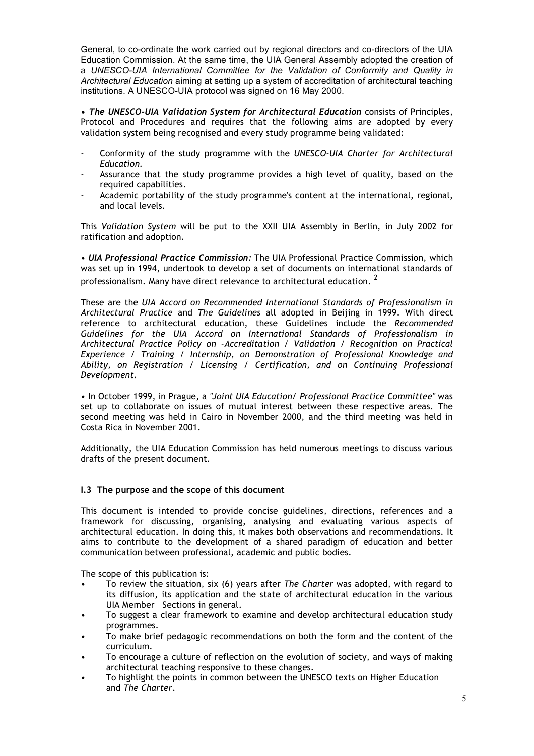General, to co-ordinate the work carried out by regional directors and co-directors of the UIA Education Commission. At the same time, the UIA General Assembly adopted the creation of a *UNESCO-UIA International Committee for the Validation of Conformity and Quality in Architectural Education* aiming at setting up a system of accreditation of architectural teaching institutions. A UNESCO-UIA protocol was signed on 16 May 2000.

**•** *The UNESCO-UIA Validation System for Architectural Education* consists of Principles, Protocol and Procedures and requires that the following aims are adopted by every validation system being recognised and every study programme being validated:

- Conformity of the study programme with the *UNESCO-UIA Charter for Architectural Education.*
- Assurance that the study programme provides a high level of quality, based on the required capabilities.
- Academic portability of the study programme's content at the international, regional, and local levels.

This *Validation System* will be put to the XXII UIA Assembly in Berlin, in July 2002 for ratification and adoption.

• *UIA Professional Practice Commission:* The UIA Professional Practice Commission, which was set up in 1994, undertook to develop a set of documents on international standards of professionalism. Many have direct relevance to architectural education. <sup>2</sup>

These are the *UIA Accord on Recommended International Standards of Professionalism in Architectural Practice* and *The Guidelines* all adopted in Beijing in 1999. With direct reference to architectural education, these Guidelines include the *Recommended Guidelines for the UIA Accord on International Standards of Professionalism in Architectural Practice Policy on -Accreditation / Validation / Recognition on Practical Experience / Training / Internship, on Demonstration of Professional Knowledge and Ability, on Registration / Licensing / Certification, and on Continuing Professional Development.*

• In October 1999, in Prague, a *"Joint UIA Education/ Professional Practice Committee"* was set up to collaborate on issues of mutual interest between these respective areas. The second meeting was held in Cairo in November 2000, and the third meeting was held in Costa Rica in November 2001.

Additionally, the UIA Education Commission has held numerous meetings to discuss various drafts of the present document.

#### **I.3 The purpose and the scope of this document**

This document is intended to provide concise guidelines, directions, references and a framework for discussing, organising, analysing and evaluating various aspects of architectural education. In doing this, it makes both observations and recommendations. It aims to contribute to the development of a shared paradigm of education and better communication between professional, academic and public bodies.

The scope of this publication is:

- To review the situation, six (6) years after *The Charter* was adopted, with regard to its diffusion, its application and the state of architectural education in the various UIA Member Sections in general.
- To suggest a clear framework to examine and develop architectural education study programmes.
- To make brief pedagogic recommendations on both the form and the content of the curriculum.
- To encourage a culture of reflection on the evolution of society, and ways of making architectural teaching responsive to these changes.
- To highlight the points in common between the UNESCO texts on Higher Education and *The Charter*.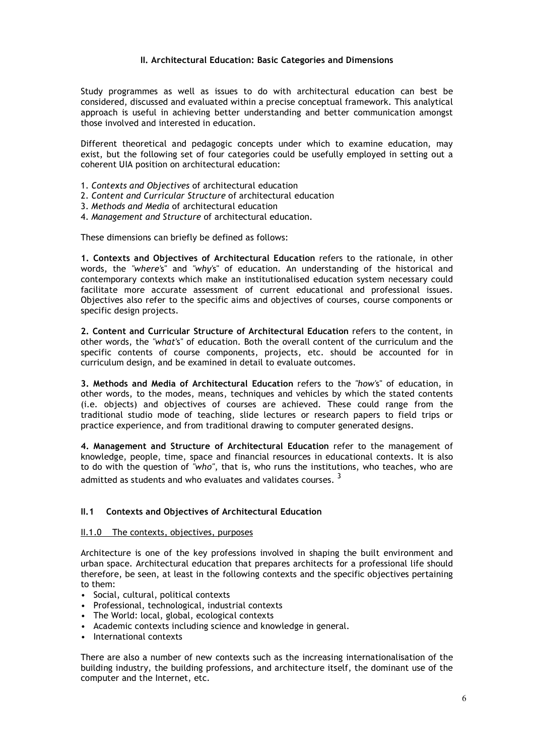### **II. Architectural Education: Basic Categories and Dimensions**

Study programmes as well as issues to do with architectural education can best be considered, discussed and evaluated within a precise conceptual framework. This analytical approach is useful in achieving better understanding and better communication amongst those involved and interested in education.

Different theoretical and pedagogic concepts under which to examine education, may exist, but the following set of four categories could be usefully employed in setting out a coherent UIA position on architectural education:

- 1. *Contexts and Objectives* of architectural education
- 2. *Content and Curricular Structure* of architectural education
- 3. *Methods and Media* of architectural education
- 4. *Management and Structure* of architectural education.

These dimensions can briefly be defined as follows:

**1. Contexts and Objectives of Architectural Education** refers to the rationale, in other words, the *"where'*s" and *"why'*s" of education. An understanding of the historical and contemporary contexts which make an institutionalised education system necessary could facilitate more accurate assessment of current educational and professional issues. Objectives also refer to the specific aims and objectives of courses, course components or specific design projects.

**2. Content and Curricular Structure of Architectural Education** refers to the content, in other words, the *"what'*s" of education. Both the overall content of the curriculum and the specific contents of course components, projects, etc. should be accounted for in curriculum design, and be examined in detail to evaluate outcomes.

**3. Methods and Media of Architectural Education** refers to the *"how'*s" of education, in other words, to the modes, means, techniques and vehicles by which the stated contents (i.e. objects) and objectives of courses are achieved. These could range from the traditional studio mode of teaching, slide lectures or research papers to field trips or practice experience, and from traditional drawing to computer generated designs.

**4. Management and Structure of Architectural Education** refer to the management of knowledge, people, time, space and financial resources in educational contexts. It is also to do with the question of *"who"*, that is, who runs the institutions, who teaches, who are admitted as students and who evaluates and validates courses.<sup>3</sup>

# **II.1 Contexts and Objectives of Architectural Education**

#### II.1.0 The contexts, objectives, purposes

Architecture is one of the key professions involved in shaping the built environment and urban space. Architectural education that prepares architects for a professional life should therefore, be seen, at least in the following contexts and the specific objectives pertaining to them:

- Social, cultural, political contexts
- Professional, technological, industrial contexts
- The World: local, global, ecological contexts
- Academic contexts including science and knowledge in general.
- International contexts

There are also a number of new contexts such as the increasing internationalisation of the building industry, the building professions, and architecture itself, the dominant use of the computer and the Internet, etc.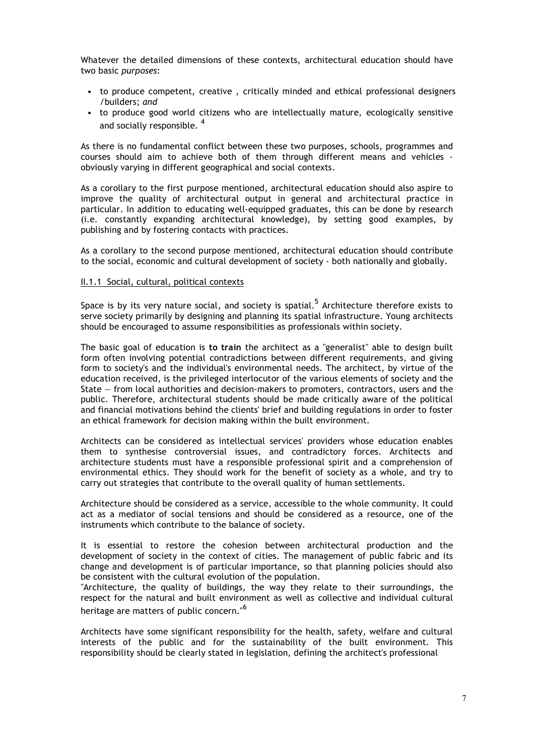Whatever the detailed dimensions of these contexts, architectural education should have two basic *purposes*:

- to produce competent, creative , critically minded and ethical professional designers /builders; *and*
- to produce good world citizens who are intellectually mature, ecologically sensitive and socially responsible.<sup>4</sup>

As there is no fundamental conflict between these two purposes, schools, programmes and courses should aim to achieve both of them through different means and vehicles obviously varying in different geographical and social contexts.

As a corollary to the first purpose mentioned, architectural education should also aspire to improve the quality of architectural output in general and architectural practice in particular. In addition to educating well-equipped graduates, this can be done by research (i.e. constantly expanding architectural knowledge), by setting good examples, by publishing and by fostering contacts with practices.

As a corollary to the second purpose mentioned, architectural education should contribute to the social, economic and cultural development of society - both nationally and globally.

#### II.1.1 Social, cultural, political contexts

Space is by its very nature social, and society is spatial.<sup>5</sup> Architecture therefore exists to serve society primarily by designing and planning its spatial infrastructure. Young architects should be encouraged to assume responsibilities as professionals within society.

The basic goal of education is **to train** the architect as a "generalist" able to design built form often involving potential contradictions between different requirements, and giving form to society's and the individual's environmental needs. The architect, by virtue of the education received, is the privileged interlocutor of the various elements of society and the State — from local authorities and decision-makers to promoters, contractors, users and the public. Therefore, architectural students should be made critically aware of the political and financial motivations behind the clients' brief and building regulations in order to foster an ethical framework for decision making within the built environment.

Architects can be considered as intellectual services' providers whose education enables them to synthesise controversial issues, and contradictory forces. Architects and architecture students must have a responsible professional spirit and a comprehension of environmental ethics. They should work for the benefit of society as a whole, and try to carry out strategies that contribute to the overall quality of human settlements.

Architecture should be considered as a service, accessible to the whole community. It could act as a mediator of social tensions and should be considered as a resource, one of the instruments which contribute to the balance of society.

It is essential to restore the cohesion between architectural production and the development of society in the context of cities. The management of public fabric and its change and development is of particular importance, so that planning policies should also be consistent with the cultural evolution of the population.

"Architecture, the quality of buildings, the way they relate to their surroundings, the respect for the natural and built environment as well as collective and individual cultural heritage are matters of public concern."<sup>6</sup>

Architects have some significant responsibility for the health, safety, welfare and cultural interests of the public and for the sustainability of the built environment. This responsibility should be clearly stated in legislation, defining the architect's professional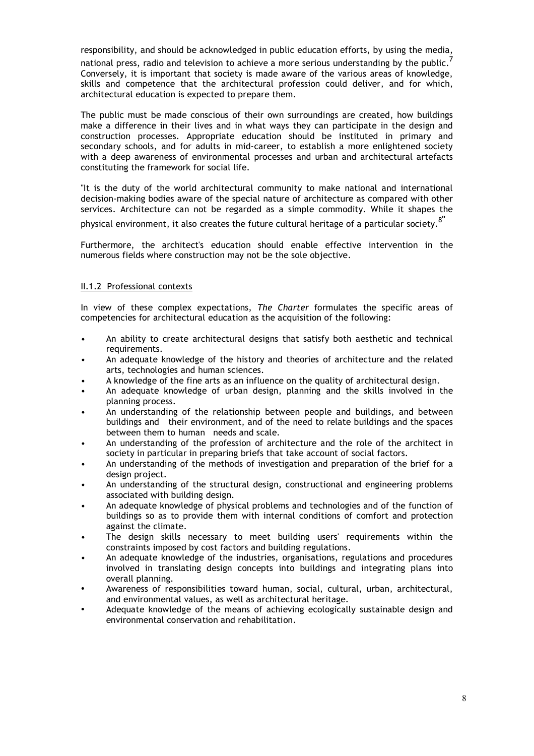responsibility, and should be acknowledged in public education efforts, by using the media, national press, radio and television to achieve a more serious understanding by the public.  $\vec{\hbox{}}$ Conversely, it is important that society is made aware of the various areas of knowledge, skills and competence that the architectural profession could deliver, and for which, architectural education is expected to prepare them.

The public must be made conscious of their own surroundings are created, how buildings make a difference in their lives and in what ways they can participate in the design and construction processes. Appropriate education should be instituted in primary and secondary schools, and for adults in mid-career, to establish a more enlightened society with a deep awareness of environmental processes and urban and architectural artefacts constituting the framework for social life.

"It is the duty of the world architectural community to make national and international decision-making bodies aware of the special nature of architecture as compared with other services. Architecture can not be regarded as a simple commodity. While it shapes the

physical environment, it also creates the future cultural heritage of a particular society. 8**"**

Furthermore, the architect's education should enable effective intervention in the numerous fields where construction may not be the sole objective.

#### II.1.2 Professional contexts

In view of these complex expectations, *The Charter* formulates the specific areas of competencies for architectural education as the acquisition of the following:

- An ability to create architectural designs that satisfy both aesthetic and technical requirements.
- An adequate knowledge of the history and theories of architecture and the related arts, technologies and human sciences.
- A knowledge of the fine arts as an influence on the quality of architectural design.
- An adequate knowledge of urban design, planning and the skills involved in the planning process.
- An understanding of the relationship between people and buildings, and between buildings and their environment, and of the need to relate buildings and the spaces between them to human needs and scale.
- An understanding of the profession of architecture and the role of the architect in society in particular in preparing briefs that take account of social factors.
- An understanding of the methods of investigation and preparation of the brief for a design project.
- An understanding of the structural design, constructional and engineering problems associated with building design.
- An adequate knowledge of physical problems and technologies and of the function of buildings so as to provide them with internal conditions of comfort and protection against the climate.
- The design skills necessary to meet building users' requirements within the constraints imposed by cost factors and building regulations.
- An adequate knowledge of the industries, organisations, regulations and procedures involved in translating design concepts into buildings and integrating plans into overall planning.
- Awareness of responsibilities toward human, social, cultural, urban, architectural, and environmental values, as well as architectural heritage.
- Adequate knowledge of the means of achieving ecologically sustainable design and environmental conservation and rehabilitation.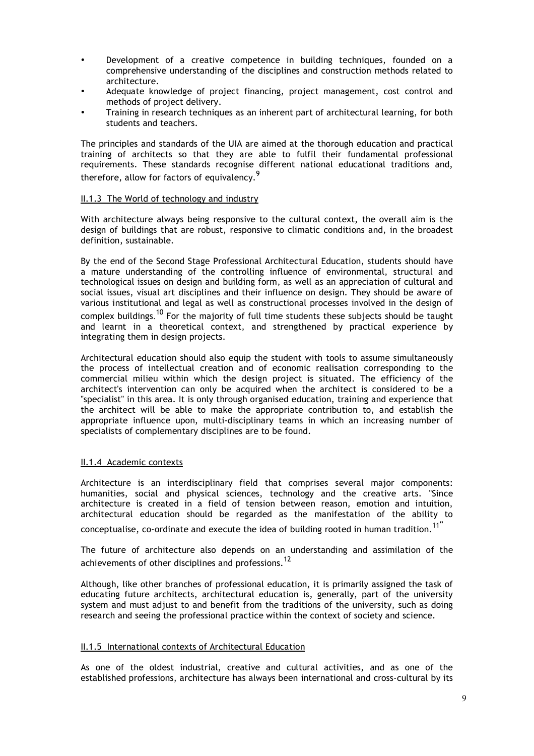- Development of a creative competence in building techniques, founded on a comprehensive understanding of the disciplines and construction methods related to architecture.
- Adequate knowledge of project financing, project management, cost control and methods of project delivery.
- Training in research techniques as an inherent part of architectural learning, for both students and teachers.

The principles and standards of the UIA are aimed at the thorough education and practical training of architects so that they are able to fulfil their fundamental professional requirements. These standards recognise different national educational traditions and, therefore, allow for factors of equivalency.<sup>9</sup>

#### II.1.3 The World of technology and industry

With architecture always being responsive to the cultural context, the overall aim is the design of buildings that are robust, responsive to climatic conditions and, in the broadest definition, sustainable.

By the end of the Second Stage Professional Architectural Education, students should have a mature understanding of the controlling influence of environmental, structural and technological issues on design and building form, as well as an appreciation of cultural and social issues, visual art disciplines and their influence on design. They should be aware of various institutional and legal as well as constructional processes involved in the design of complex buildings. <sup>10</sup> For the majority of full time students these subjects should be taught and learnt in a theoretical context, and strengthened by practical experience by integrating them in design projects.

Architectural education should also equip the student with tools to assume simultaneously the process of intellectual creation and of economic realisation corresponding to the commercial milieu within which the design project is situated. The efficiency of the architect's intervention can only be acquired when the architect is considered to be a "specialist" in this area. It is only through organised education, training and experience that the architect will be able to make the appropriate contribution to, and establish the appropriate influence upon, multi-disciplinary teams in which an increasing number of specialists of complementary disciplines are to be found.

#### II.1.4 Academic contexts

Architecture is an interdisciplinary field that comprises several major components: humanities, social and physical sciences, technology and the creative arts. "Since architecture is created in a field of tension between reason, emotion and intuition, architectural education should be regarded as the manifestation of the ability to

conceptualise, co-ordinate and execute the idea of building rooted in human tradition. 11**"**

The future of architecture also depends on an understanding and assimilation of the achievements of other disciplines and professions.  $^{12}$ 

Although, like other branches of professional education, it is primarily assigned the task of educating future architects, architectural education is, generally, part of the university system and must adjust to and benefit from the traditions of the university, such as doing research and seeing the professional practice within the context of society and science.

#### II.1.5 International contexts of Architectural Education

As one of the oldest industrial, creative and cultural activities, and as one of the established professions, architecture has always been international and cross-cultural by its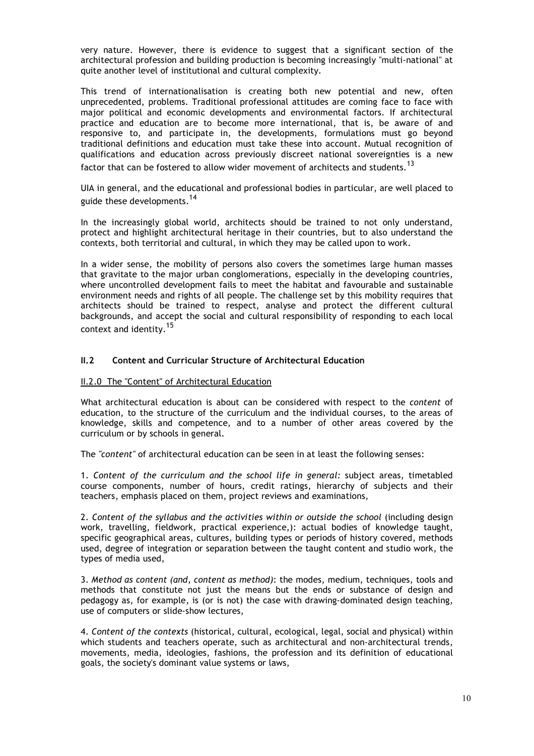very nature. However, there is evidence to suggest that a significant section of the architectural profession and building production is becoming increasingly "multi-national" at quite another level of institutional and cultural complexity.

This trend of internationalisation is creating both new potential and new, often unprecedented, problems. Traditional professional attitudes are coming face to face with major political and economic developments and environmental factors. If architectural practice and education are to become more international, that is, be aware of and responsive to, and participate in, the developments, formulations must go beyond traditional definitions and education must take these into account. Mutual recognition of qualifications and education across previously discreet national sovereignties is a new factor that can be fostered to allow wider movement of architects and students.  $^{\mathsf{13}}$ 

UIA in general, and the educational and professional bodies in particular, are well placed to guide these developments.<sup>14</sup>

In the increasingly global world, architects should be trained to not only understand, protect and highlight architectural heritage in their countries, but to also understand the contexts, both territorial and cultural, in which they may be called upon to work.

In a wider sense, the mobility of persons also covers the sometimes large human masses that gravitate to the major urban conglomerations, especially in the developing countries, where uncontrolled development fails to meet the habitat and favourable and sustainable environment needs and rights of all people. The challenge set by this mobility requires that architects should be trained to respect, analyse and protect the different cultural backgrounds, and accept the social and cultural responsibility of responding to each local context and identity.<sup>15</sup>

# **II.2 Content and Curricular Structure of Architectural Education**

#### II.2.0 The "Content" of Architectural Education

What architectural education is about can be considered with respect to the *content* of education, to the structure of the curriculum and the individual courses, to the areas of knowledge, skills and competence, and to a number of other areas covered by the curriculum or by schools in general.

The *"content"* of architectural education can be seen in at least the following senses:

1. *Content of the curriculum and the school life in general:* subject areas, timetabled course components, number of hours, credit ratings, hierarchy of subjects and their teachers, emphasis placed on them, project reviews and examinations,

2. *Content of the syllabus and the activities within or outside the school* (including design work, travelling, fieldwork, practical experience,): actual bodies of knowledge taught, specific geographical areas, cultures, building types or periods of history covered, methods used, degree of integration or separation between the taught content and studio work, the types of media used,

3. *Method as content (and, content as method)*: the modes, medium, techniques, tools and methods that constitute not just the means but the ends or substance of design and pedagogy as, for example, is (or is not) the case with drawing-dominated design teaching, use of computers or slide-show lectures,

4. *Content of the contexts* (historical, cultural, ecological, legal, social and physical) within which students and teachers operate, such as architectural and non-architectural trends, movements, media, ideologies, fashions, the profession and its definition of educational goals, the society's dominant value systems or laws,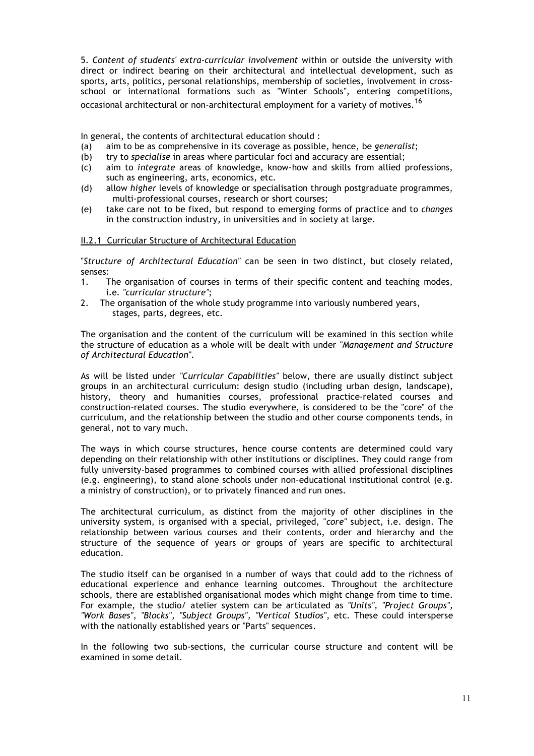5. *Content of students' extra-curricular involvement* within or outside the university with direct or indirect bearing on their architectural and intellectual development, such as sports, arts, politics, personal relationships, membership of societies, involvement in crossschool or international formations such as "Winter Schools", entering competitions, occasional architectural or non-architectural employment for a variety of motives. 16

In general, the contents of architectural education should :

- (a) aim to be as comprehensive in its coverage as possible, hence, be *generalist*;
- (b) try to *specialise* in areas where particular foci and accuracy are essential;
- (c) aim to *integrate* areas of knowledge, know-how and skills from allied professions, such as engineering, arts, economics, etc.
- (d) allow *higher* levels of knowledge or specialisation through postgraduate programmes, multi-professional courses, research or short courses;
- (e) take care not to be fixed, but respond to emerging forms of practice and to *changes* in the construction industry, in universities and in society at large.

#### II.2.1 Curricular Structure of Architectural Education

"*Structure of Architectural Education"* can be seen in two distinct, but closely related, senses:

- 1. The organisation of courses in terms of their specific content and teaching modes, i.e*. "curricular structure"*;
- 2. The organisation of the whole study programme into variously numbered years, stages, parts, degrees, etc.

The organisation and the content of the curriculum will be examined in this section while the structure of education as a whole will be dealt with under *"Management and Structure of Architectural Education"*.

As will be listed under *"Curricular Capabilities"* below, there are usually distinct subject groups in an architectural curriculum: design studio (including urban design, landscape), history, theory and humanities courses, professional practice-related courses and construction-related courses. The studio everywhere, is considered to be the "core" of the curriculum, and the relationship between the studio and other course components tends, in general, not to vary much.

The ways in which course structures, hence course contents are determined could vary depending on their relationship with other institutions or disciplines. They could range from fully university-based programmes to combined courses with allied professional disciplines (e.g. engineering), to stand alone schools under non-educational institutional control (e.g. a ministry of construction), or to privately financed and run ones.

The architectural curriculum, as distinct from the majority of other disciplines in the university system, is organised with a special*,* privileged*,* "*core"* subject, i.e. design. The relationship between various courses and their contents, order and hierarchy and the structure of the sequence of years or groups of years are specific to architectural education.

The studio itself can be organised in a number of ways that could add to the richness of educational experience and enhance learning outcomes. Throughout the architecture schools, there are established organisational modes which might change from time to time. For example, the studio/ atelier system can be articulated as *"Units", "Project Groups", "Work Bases", "Blocks", "Subject Groups", "Vertical Studios"*, etc. These could intersperse with the nationally established years or "Parts" sequences.

In the following two sub-sections, the curricular course structure and content will be examined in some detail.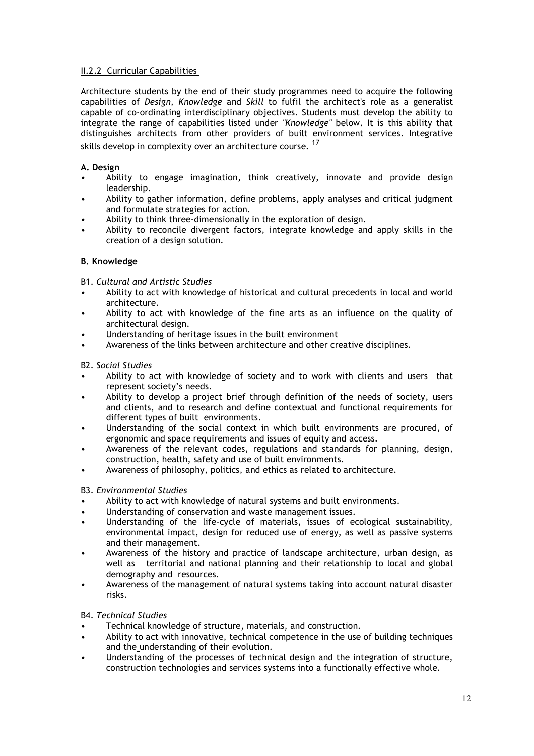# II.2.2 Curricular Capabilities

Architecture students by the end of their study programmes need to acquire the following capabilities of *Design*, *Knowledge* and *Skill* to fulfil the architect's role as a generalist capable of co-ordinating interdisciplinary objectives. Students must develop the ability to integrate the range of capabilities listed under *"Knowledge"* below. It is this ability that distinguishes architects from other providers of built environment services. Integrative skills develop in complexity over an architecture course. <sup>17</sup>

# **A. Design**

- Ability to engage imagination, think creatively, innovate and provide design leadership.
- Ability to gather information, define problems, apply analyses and critical judgment and formulate strategies for action.
- Ability to think three-dimensionally in the exploration of design.
- Ability to reconcile divergent factors, integrate knowledge and apply skills in the creation of a design solution.

# **B. Knowledge**

B1. *Cultural and Artistic Studies*

- Ability to act with knowledge of historical and cultural precedents in local and world architecture.
- Ability to act with knowledge of the fine arts as an influence on the quality of architectural design.
- Understanding of heritage issues in the built environment
- Awareness of the links between architecture and other creative disciplines.

# B2. *Social Studies*

- Ability to act with knowledge of society and to work with clients and users that represent society's needs.
- Ability to develop a project brief through definition of the needs of society, users and clients, and to research and define contextual and functional requirements for different types of built environments.
- Understanding of the social context in which built environments are procured, of ergonomic and space requirements and issues of equity and access.
- Awareness of the relevant codes, regulations and standards for planning, design, construction, health, safety and use of built environments.
- Awareness of philosophy, politics, and ethics as related to architecture.

# B3. *Environmental Studies*

- Ability to act with knowledge of natural systems and built environments.
- Understanding of conservation and waste management issues.
- Understanding of the life-cycle of materials, issues of ecological sustainability, environmental impact, design for reduced use of energy, as well as passive systems and their management.
- Awareness of the history and practice of landscape architecture, urban design, as well as territorial and national planning and their relationship to local and global demography and resources.
- Awareness of the management of natural systems taking into account natural disaster risks.

# B4. *Technical Studies*

- Technical knowledge of structure, materials, and construction.
- Ability to act with innovative, technical competence in the use of building techniques and the understanding of their evolution.
- Understanding of the processes of technical design and the integration of structure, construction technologies and services systems into a functionally effective whole.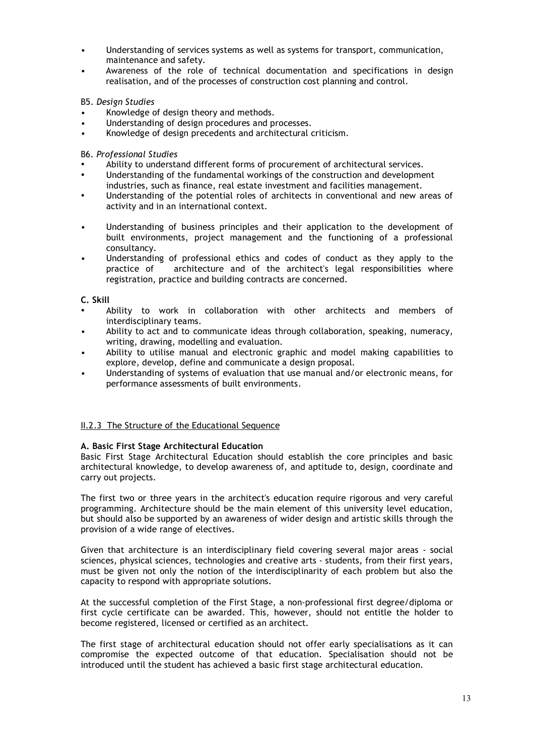- Understanding of services systems as well as systems for transport, communication, maintenance and safety.
- Awareness of the role of technical documentation and specifications in design realisation, and of the processes of construction cost planning and control.

B5. *Design Studies*

- Knowledge of design theory and methods.
- Understanding of design procedures and processes.
- Knowledge of design precedents and architectural criticism.

B6. *Professional Studies*

- Ability to understand different forms of procurement of architectural services.
- Understanding of the fundamental workings of the construction and development industries, such as finance, real estate investment and facilities management.
- Understanding of the potential roles of architects in conventional and new areas of activity and in an international context.
- Understanding of business principles and their application to the development of built environments, project management and the functioning of a professional consultancy.
- Understanding of professional ethics and codes of conduct as they apply to the practice of architecture and of the architect's legal responsibilities where registration, practice and building contracts are concerned.

**C. Skill**

- Ability to work in collaboration with other architects and members of interdisciplinary teams.
- Ability to act and to communicate ideas through collaboration, speaking, numeracy, writing, drawing, modelling and evaluation.
- Ability to utilise manual and electronic graphic and model making capabilities to explore, develop, define and communicate a design proposal.
- Understanding of systems of evaluation that use manual and/or electronic means, for performance assessments of built environments.

# II.2.3 The Structure of the Educational Sequence

#### **A. Basic First Stage Architectural Education**

Basic First Stage Architectural Education should establish the core principles and basic architectural knowledge, to develop awareness of, and aptitude to, design, coordinate and carry out projects.

The first two or three years in the architect's education require rigorous and very careful programming. Architecture should be the main element of this university level education, but should also be supported by an awareness of wider design and artistic skills through the provision of a wide range of electives.

Given that architecture is an interdisciplinary field covering several major areas - social sciences, physical sciences, technologies and creative arts - students, from their first years, must be given not only the notion of the interdisciplinarity of each problem but also the capacity to respond with appropriate solutions.

At the successful completion of the First Stage, a non-professional first degree/diploma or first cycle certificate can be awarded. This, however, should not entitle the holder to become registered, licensed or certified as an architect.

The first stage of architectural education should not offer early specialisations as it can compromise the expected outcome of that education. Specialisation should not be introduced until the student has achieved a basic first stage architectural education.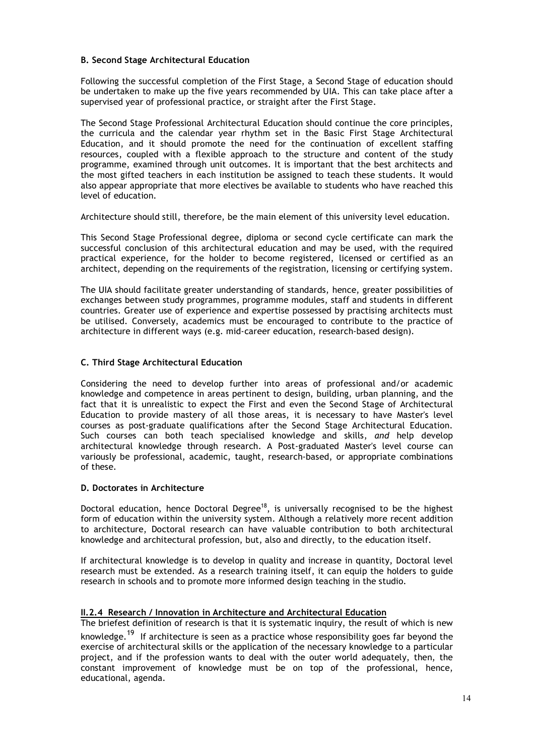### **B. Second Stage Architectural Education**

Following the successful completion of the First Stage, a Second Stage of education should be undertaken to make up the five years recommended by UIA. This can take place after a supervised year of professional practice, or straight after the First Stage.

The Second Stage Professional Architectural Education should continue the core principles, the curricula and the calendar year rhythm set in the Basic First Stage Architectural Education, and it should promote the need for the continuation of excellent staffing resources, coupled with a flexible approach to the structure and content of the study programme, examined through unit outcomes. It is important that the best architects and the most gifted teachers in each institution be assigned to teach these students. It would also appear appropriate that more electives be available to students who have reached this level of education.

Architecture should still, therefore, be the main element of this university level education.

This Second Stage Professional degree, diploma or second cycle certificate can mark the successful conclusion of this architectural education and may be used, with the required practical experience, for the holder to become registered, licensed or certified as an architect, depending on the requirements of the registration, licensing or certifying system.

The UIA should facilitate greater understanding of standards, hence, greater possibilities of exchanges between study programmes, programme modules, staff and students in different countries. Greater use of experience and expertise possessed by practising architects must be utilised. Conversely, academics must be encouraged to contribute to the practice of architecture in different ways (e.g. mid-career education, research-based design).

#### **C. Third Stage Architectural Education**

Considering the need to develop further into areas of professional and/or academic knowledge and competence in areas pertinent to design, building, urban planning, and the fact that it is unrealistic to expect the First and even the Second Stage of Architectural Education to provide mastery of all those areas, it is necessary to have Master's level courses as post-graduate qualifications after the Second Stage Architectural Education. Such courses can both teach specialised knowledge and skills, *and* help develop architectural knowledge through research. A Post-graduated Master's level course can variously be professional, academic, taught, research-based, or appropriate combinations of these.

### **D. Doctorates in Architecture**

Doctoral education, hence Doctoral Degree<sup>18</sup>, is universally recognised to be the highest form of education within the university system. Although a relatively more recent addition to architecture, Doctoral research can have valuable contribution to both architectural knowledge and architectural profession, but, also and directly, to the education itself.

If architectural knowledge is to develop in quality and increase in quantity, Doctoral level research must be extended. As a research training itself, it can equip the holders to guide research in schools and to promote more informed design teaching in the studio.

# **II.2.4 Research / Innovation in Architecture and Architectural Education**

The briefest definition of research is that it is systematic inquiry, the result of which is new knowledge.<sup>19</sup> If architecture is seen as a practice whose responsibility goes far beyond the exercise of architectural skills or the application of the necessary knowledge to a particular project, and if the profession wants to deal with the outer world adequately, then, the constant improvement of knowledge must be on top of the professional, hence, educational, agenda.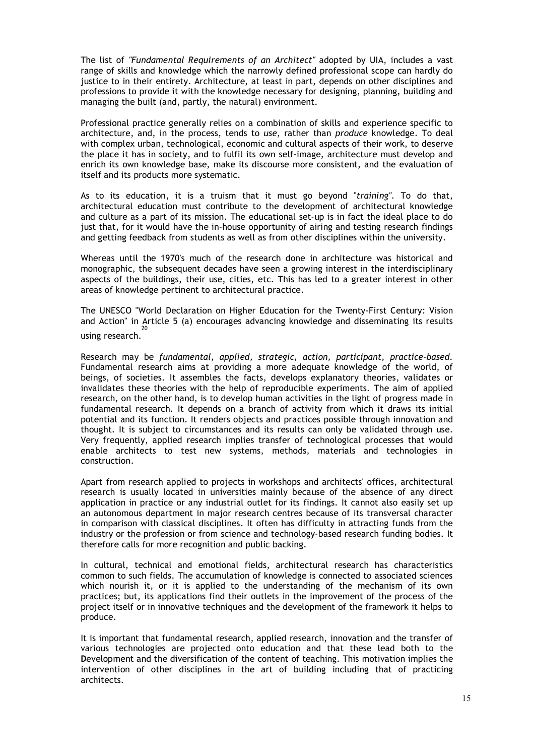The list of *"Fundamental Requirements of an Architect"* adopted by UIA, includes a vast range of skills and knowledge which the narrowly defined professional scope can hardly do justice to in their entirety. Architecture, at least in part, depends on other disciplines and professions to provide it with the knowledge necessary for designing, planning, building and managing the built (and, partly, the natural) environment.

Professional practice generally relies on a combination of skills and experience specific to architecture, and, in the process, tends to *use*, rather than *produce* knowledge. To deal with complex urban, technological, economic and cultural aspects of their work, to deserve the place it has in society, and to fulfil its own self-image, architecture must develop and enrich its own knowledge base, make its discourse more consistent, and the evaluation of itself and its products more systematic.

As to its education, it is a truism that it must go beyond "*training"*. To do that, architectural education must contribute to the development of architectural knowledge and culture as a part of its mission. The educational set-up is in fact the ideal place to do just that, for it would have the in-house opportunity of airing and testing research findings and getting feedback from students as well as from other disciplines within the university.

Whereas until the 1970's much of the research done in architecture was historical and monographic, the subsequent decades have seen a growing interest in the interdisciplinary aspects of the buildings, their use, cities, etc. This has led to a greater interest in other areas of knowledge pertinent to architectural practice.

The UNESCO "World Declaration on Higher Education for the Twenty-First Century: Vision and Action" in Article 5 (a) encourages advancing knowledge and disseminating its results using research. 20

Research may be *fundamental, applied, strategic, action, participant, practice-based*. Fundamental research aims at providing a more adequate knowledge of the world, of beings, of societies. It assembles the facts, develops explanatory theories, validates or invalidates these theories with the help of reproducible experiments. The aim of applied research, on the other hand, is to develop human activities in the light of progress made in fundamental research. It depends on a branch of activity from which it draws its initial potential and its function. It renders objects and practices possible through innovation and thought. It is subject to circumstances and its results can only be validated through use. Very frequently, applied research implies transfer of technological processes that would enable architects to test new systems, methods, materials and technologies in construction.

Apart from research applied to projects in workshops and architects' offices, architectural research is usually located in universities mainly because of the absence of any direct application in practice or any industrial outlet for its findings. It cannot also easily set up an autonomous department in major research centres because of its transversal character in comparison with classical disciplines. It often has difficulty in attracting funds from the industry or the profession or from science and technology-based research funding bodies. It therefore calls for more recognition and public backing.

In cultural, technical and emotional fields, architectural research has characteristics common to such fields. The accumulation of knowledge is connected to associated sciences which nourish it, or it is applied to the understanding of the mechanism of its own practices; but, its applications find their outlets in the improvement of the process of the project itself or in innovative techniques and the development of the framework it helps to produce.

It is important that fundamental research, applied research, innovation and the transfer of various technologies are projected onto education and that these lead both to the **D**evelopment and the diversification of the content of teaching. This motivation implies the intervention of other disciplines in the art of building including that of practicing architects.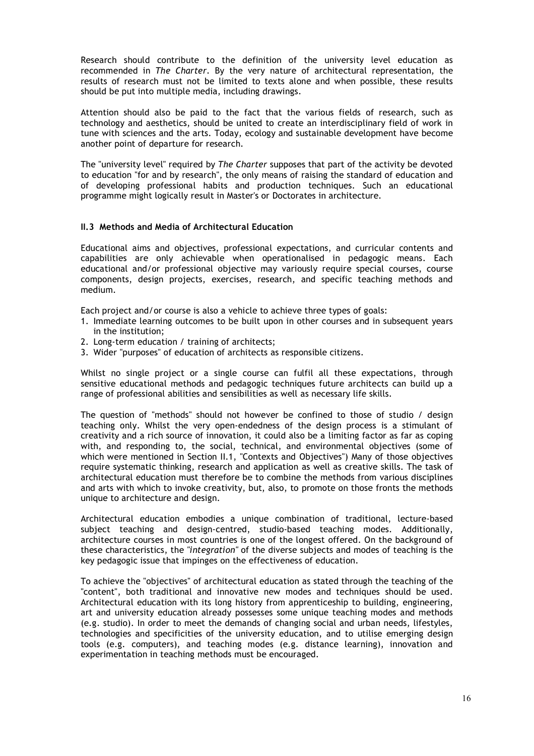Research should contribute to the definition of the university level education as recommended in *The Charter*. By the very nature of architectural representation, the results of research must not be limited to texts alone and when possible, these results should be put into multiple media, including drawings.

Attention should also be paid to the fact that the various fields of research, such as technology and aesthetics, should be united to create an interdisciplinary field of work in tune with sciences and the arts. Today, ecology and sustainable development have become another point of departure for research.

The "university level" required by *The Charter* supposes that part of the activity be devoted to education "for and by research", the only means of raising the standard of education and of developing professional habits and production techniques. Such an educational programme might logically result in Master's or Doctorates in architecture.

#### **II.3 Methods and Media of Architectural Education**

Educational aims and objectives, professional expectations, and curricular contents and capabilities are only achievable when operationalised in pedagogic means. Each educational and/or professional objective may variously require special courses, course components, design projects, exercises, research, and specific teaching methods and medium.

Each project and/or course is also a vehicle to achieve three types of goals:

- 1. Immediate learning outcomes to be built upon in other courses and in subsequent years in the institution;
- 2. Long-term education / training of architects;
- 3. Wider "purposes" of education of architects as responsible citizens.

Whilst no single project or a single course can fulfil all these expectations, through sensitive educational methods and pedagogic techniques future architects can build up a range of professional abilities and sensibilities as well as necessary life skills.

The question of "methods" should not however be confined to those of studio / design teaching only. Whilst the very open-endedness of the design process is a stimulant of creativity and a rich source of innovation, it could also be a limiting factor as far as coping with, and responding to, the social, technical, and environmental objectives (some of which were mentioned in Section II.1, "Contexts and Objectives") Many of those objectives require systematic thinking, research and application as well as creative skills. The task of architectural education must therefore be to combine the methods from various disciplines and arts with which to invoke creativity, but, also, to promote on those fronts the methods unique to architecture and design.

Architectural education embodies a unique combination of traditional, lecture-based subject teaching and design-centred, studio-based teaching modes. Additionally, architecture courses in most countries is one of the longest offered. On the background of these characteristics, the *"integration"* of the diverse subjects and modes of teaching is the key pedagogic issue that impinges on the effectiveness of education.

To achieve the "objectives" of architectural education as stated through the teaching of the "content", both traditional and innovative new modes and techniques should be used. Architectural education with its long history from apprenticeship to building, engineering, art and university education already possesses some unique teaching modes and methods (e.g. studio). In order to meet the demands of changing social and urban needs, lifestyles, technologies and specificities of the university education, and to utilise emerging design tools (e.g. computers), and teaching modes (e.g. distance learning), innovation and experimentation in teaching methods must be encouraged.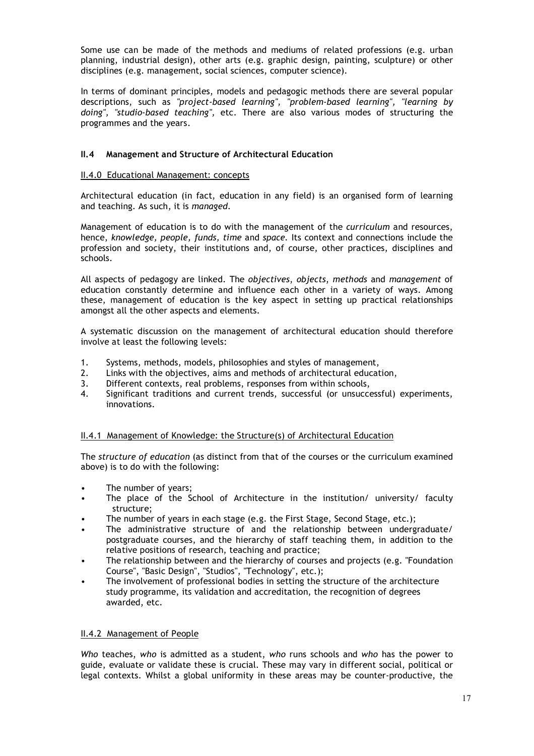Some use can be made of the methods and mediums of related professions (e.g. urban planning, industrial design), other arts (e.g. graphic design, painting, sculpture) or other disciplines (e.g. management, social sciences, computer science).

In terms of dominant principles, models and pedagogic methods there are several popular descriptions, such as *"project-based learning", "problem-based learning", "learning by doing", "studio-based teaching",* etc. There are also various modes of structuring the programmes and the years.

# **II.4 Management and Structure of Architectural Education**

#### II.4.0 Educational Management: concepts

Architectural education (in fact, education in any field) is an organised form of learning and teaching. As such, it is *managed*.

Management of education is to do with the management of the *curriculum* and resources, hence, *knowledge, people, funds, time* and *space.* Its context and connections include the profession and society, their institutions and, of course, other practices, disciplines and schools.

All aspects of pedagogy are linked. The *objectives*, *objects*, *methods* and *management* of education constantly determine and influence each other in a variety of ways. Among these, management of education is the key aspect in setting up practical relationships amongst all the other aspects and elements.

A systematic discussion on the management of architectural education should therefore involve at least the following levels:

- 1. Systems, methods, models, philosophies and styles of management,
- 2. Links with the objectives, aims and methods of architectural education,
- 3. Different contexts, real problems, responses from within schools,
- 4. Significant traditions and current trends, successful (or unsuccessful) experiments, innovations.

# II.4.1 Management of Knowledge: the Structure(s) of Architectural Education

The *structure of education* (as distinct from that of the courses or the curriculum examined above) is to do with the following:

- The number of years;
- The place of the School of Architecture in the institution/ university/ faculty structure;
- The number of years in each stage (e.g. the First Stage, Second Stage, etc.);
- The administrative structure of and the relationship between undergraduate/ postgraduate courses, and the hierarchy of staff teaching them, in addition to the relative positions of research, teaching and practice;
- The relationship between and the hierarchy of courses and projects (e.g. "Foundation Course", "Basic Design", "Studios", "Technology", etc.);
- The involvement of professional bodies in setting the structure of the architecture study programme, its validation and accreditation, the recognition of degrees awarded, etc.

## II.4.2 Management of People

*Who* teaches, *who* is admitted as a student, *who* runs schools and *who* has the power to guide, evaluate or validate these is crucial. These may vary in different social, political or legal contexts. Whilst a global uniformity in these areas may be counter-productive, the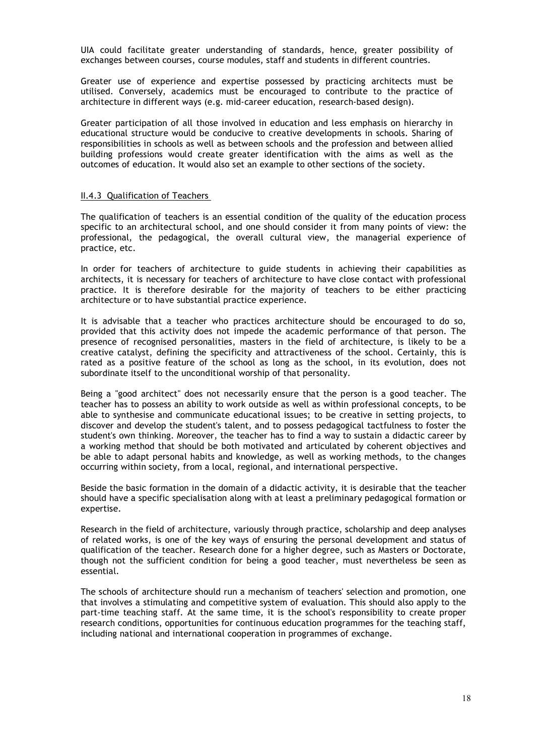UIA could facilitate greater understanding of standards, hence, greater possibility of exchanges between courses, course modules, staff and students in different countries.

Greater use of experience and expertise possessed by practicing architects must be utilised. Conversely, academics must be encouraged to contribute to the practice of architecture in different ways (e.g. mid-career education, research-based design).

Greater participation of all those involved in education and less emphasis on hierarchy in educational structure would be conducive to creative developments in schools. Sharing of responsibilities in schools as well as between schools and the profession and between allied building professions would create greater identification with the aims as well as the outcomes of education. It would also set an example to other sections of the society.

#### II.4.3 Qualification of Teachers

The qualification of teachers is an essential condition of the quality of the education process specific to an architectural school, and one should consider it from many points of view: the professional, the pedagogical, the overall cultural view, the managerial experience of practice, etc.

In order for teachers of architecture to guide students in achieving their capabilities as architects, it is necessary for teachers of architecture to have close contact with professional practice. It is therefore desirable for the majority of teachers to be either practicing architecture or to have substantial practice experience.

It is advisable that a teacher who practices architecture should be encouraged to do so, provided that this activity does not impede the academic performance of that person. The presence of recognised personalities, masters in the field of architecture, is likely to be a creative catalyst, defining the specificity and attractiveness of the school. Certainly, this is rated as a positive feature of the school as long as the school, in its evolution, does not subordinate itself to the unconditional worship of that personality.

Being a "good architect" does not necessarily ensure that the person is a good teacher. The teacher has to possess an ability to work outside as well as within professional concepts, to be able to synthesise and communicate educational issues; to be creative in setting projects, to discover and develop the student's talent, and to possess pedagogical tactfulness to foster the student's own thinking. Moreover, the teacher has to find a way to sustain a didactic career by a working method that should be both motivated and articulated by coherent objectives and be able to adapt personal habits and knowledge, as well as working methods, to the changes occurring within society, from a local, regional, and international perspective.

Beside the basic formation in the domain of a didactic activity, it is desirable that the teacher should have a specific specialisation along with at least a preliminary pedagogical formation or expertise.

Research in the field of architecture, variously through practice, scholarship and deep analyses of related works, is one of the key ways of ensuring the personal development and status of qualification of the teacher. Research done for a higher degree, such as Masters or Doctorate, though not the sufficient condition for being a good teacher, must nevertheless be seen as essential.

The schools of architecture should run a mechanism of teachers' selection and promotion, one that involves a stimulating and competitive system of evaluation. This should also apply to the part-time teaching staff. At the same time, it is the school's responsibility to create proper research conditions, opportunities for continuous education programmes for the teaching staff, including national and international cooperation in programmes of exchange.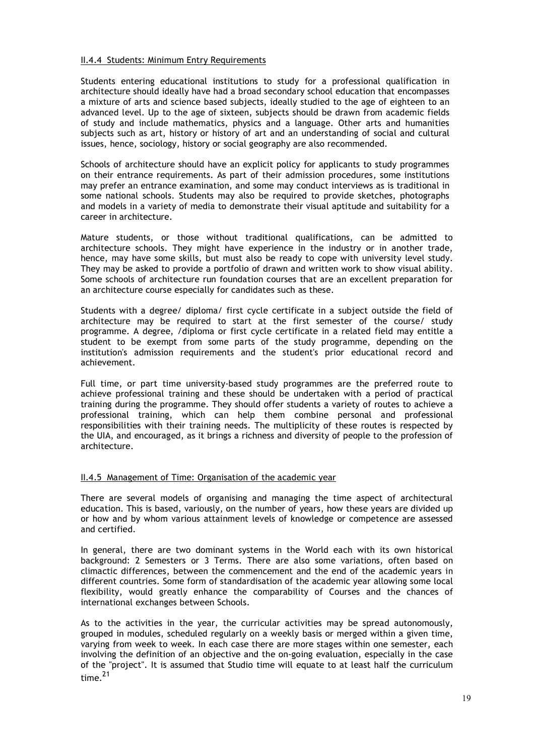#### II.4.4 Students: Minimum Entry Requirements

Students entering educational institutions to study for a professional qualification in architecture should ideally have had a broad secondary school education that encompasses a mixture of arts and science based subjects, ideally studied to the age of eighteen to an advanced level. Up to the age of sixteen, subjects should be drawn from academic fields of study and include mathematics, physics and a language. Other arts and humanities subjects such as art, history or history of art and an understanding of social and cultural issues, hence, sociology, history or social geography are also recommended.

Schools of architecture should have an explicit policy for applicants to study programmes on their entrance requirements. As part of their admission procedures, some institutions may prefer an entrance examination, and some may conduct interviews as is traditional in some national schools. Students may also be required to provide sketches, photographs and models in a variety of media to demonstrate their visual aptitude and suitability for a career in architecture.

Mature students, or those without traditional qualifications, can be admitted to architecture schools. They might have experience in the industry or in another trade, hence, may have some skills, but must also be ready to cope with university level study. They may be asked to provide a portfolio of drawn and written work to show visual ability. Some schools of architecture run foundation courses that are an excellent preparation for an architecture course especially for candidates such as these.

Students with a degree/ diploma/ first cycle certificate in a subject outside the field of architecture may be required to start at the first semester of the course/ study programme. A degree, /diploma or first cycle certificate in a related field may entitle a student to be exempt from some parts of the study programme, depending on the institution's admission requirements and the student's prior educational record and achievement.

Full time, or part time university-based study programmes are the preferred route to achieve professional training and these should be undertaken with a period of practical training during the programme. They should offer students a variety of routes to achieve a professional training, which can help them combine personal and professional responsibilities with their training needs. The multiplicity of these routes is respected by the UIA, and encouraged, as it brings a richness and diversity of people to the profession of architecture.

#### II.4.5 Management of Time: Organisation of the academic year

There are several models of organising and managing the time aspect of architectural education. This is based, variously, on the number of years, how these years are divided up or how and by whom various attainment levels of knowledge or competence are assessed and certified.

In general, there are two dominant systems in the World each with its own historical background: 2 Semesters or 3 Terms. There are also some variations, often based on climactic differences, between the commencement and the end of the academic years in different countries. Some form of standardisation of the academic year allowing some local flexibility, would greatly enhance the comparability of Courses and the chances of international exchanges between Schools.

As to the activities in the year, the curricular activities may be spread autonomously, grouped in modules, scheduled regularly on a weekly basis or merged within a given time, varying from week to week. In each case there are more stages within one semester, each involving the definition of an objective and the on-going evaluation, especially in the case of the "project". It is assumed that Studio time will equate to at least half the curriculum time. 21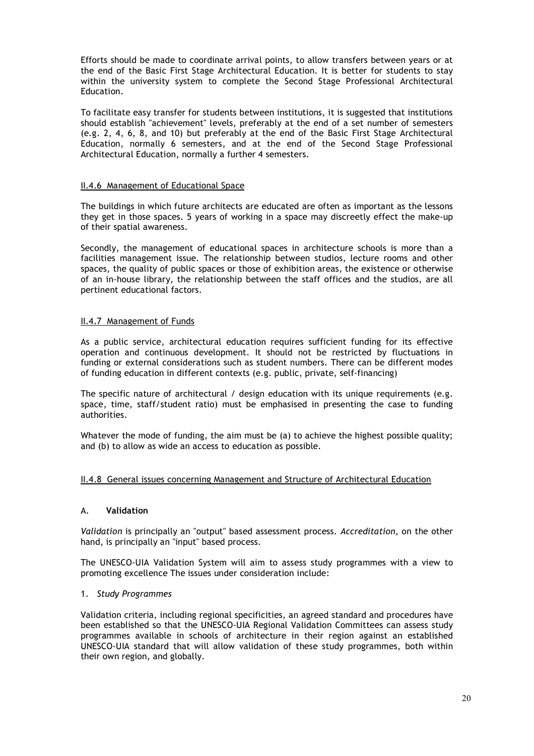Efforts should be made to coordinate arrival points, to allow transfers between years or at the end of the Basic First Stage Architectural Education. It is better for students to stay within the university system to complete the Second Stage Professional Architectural Education.

To facilitate easy transfer for students between institutions, it is suggested that institutions should establish "achievement" levels, preferably at the end of a set number of semesters (e.g. 2, 4, 6, 8, and 10) but preferably at the end of the Basic First Stage Architectural Education, normally 6 semesters, and at the end of the Second Stage Professional Architectural Education, normally a further 4 semesters.

### II.4.6 Management of Educational Space

The buildings in which future architects are educated are often as important as the lessons they get in those spaces. 5 years of working in a space may discreetly effect the make-up of their spatial awareness.

Secondly, the management of educational spaces in architecture schools is more than a facilities management issue. The relationship between studios, lecture rooms and other spaces, the quality of public spaces or those of exhibition areas, the existence or otherwise of an in-house library, the relationship between the staff offices and the studios, are all pertinent educational factors.

#### II.4.7 Management of Funds

As a public service, architectural education requires sufficient funding for its effective operation and continuous development. It should not be restricted by fluctuations in funding or external considerations such as student numbers. There can be different modes of funding education in different contexts (e.g. public, private, self-financing)

The specific nature of architectural / design education with its unique requirements (e.g. space, time, staff/student ratio) must be emphasised in presenting the case to funding authorities.

Whatever the mode of funding, the aim must be (a) to achieve the highest possible quality; and (b) to allow as wide an access to education as possible.

#### II.4.8 General issues concerning Management and Structure of Architectural Education

#### A. **Validation**

*Validation* is principally an "output" based assessment process. *Accreditation*, on the other hand, is principally an "input" based process.

The UNESCO-UIA Validation System will aim to assess study programmes with a view to promoting excellence The issues under consideration include:

#### 1. *Study Programmes*

Validation criteria, including regional specificities, an agreed standard and procedures have been established so that the UNESCO-UIA Regional Validation Committees can assess study programmes available in schools of architecture in their region against an established UNESCO-UIA standard that will allow validation of these study programmes, both within their own region, and globally.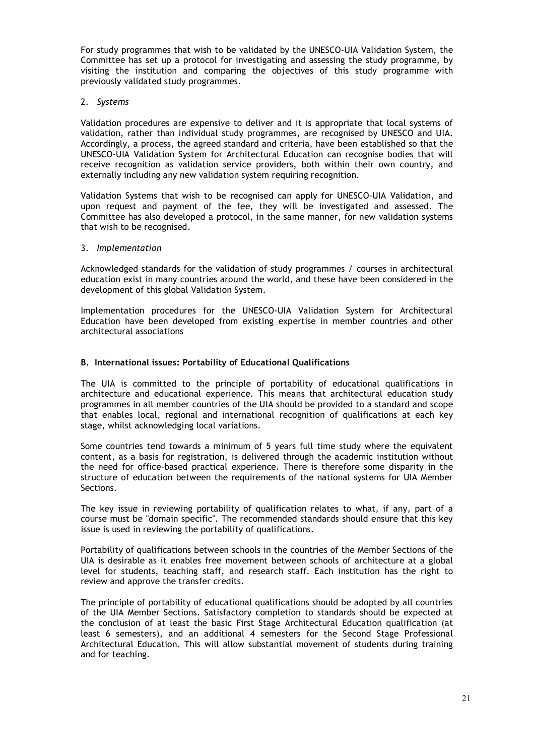For study programmes that wish to be validated by the UNESCO-UIA Validation System, the Committee has set up a protocol for investigating and assessing the study programme, by visiting the institution and comparing the objectives of this study programme with previously validated study programmes.

#### 2. *Systems*

Validation procedures are expensive to deliver and it is appropriate that local systems of validation, rather than individual study programmes, are recognised by UNESCO and UIA. Accordingly, a process, the agreed standard and criteria, have been established so that the UNESCO-UIA Validation System for Architectural Education can recognise bodies that will receive recognition as validation service providers, both within their own country, and externally including any new validation system requiring recognition.

Validation Systems that wish to be recognised can apply for UNESCO-UIA Validation, and upon request and payment of the fee, they will be investigated and assessed. The Committee has also developed a protocol, in the same manner, for new validation systems that wish to be recognised.

#### 3. *Implementation*

Acknowledged standards for the validation of study programmes / courses in architectural education exist in many countries around the world, and these have been considered in the development of this global Validation System.

Implementation procedures for the UNESCO-UIA Validation System for Architectural Education have been developed from existing expertise in member countries and other architectural associations

#### **B. International issues: Portability of Educational Qualifications**

The UIA is committed to the principle of portability of educational qualifications in architecture and educational experience. This means that architectural education study programmes in all member countries of the UIA should be provided to a standard and scope that enables local, regional and international recognition of qualifications at each key stage, whilst acknowledging local variations.

Some countries tend towards a minimum of 5 years full time study where the equivalent content, as a basis for registration, is delivered through the academic institution without the need for office-based practical experience. There is therefore some disparity in the structure of education between the requirements of the national systems for UIA Member Sections.

The key issue in reviewing portability of qualification relates to what, if any, part of a course must be "domain specific". The recommended standards should ensure that this key issue is used in reviewing the portability of qualifications.

Portability of qualifications between schools in the countries of the Member Sections of the UIA is desirable as it enables free movement between schools of architecture at a global level for students, teaching staff, and research staff. Each institution has the right to review and approve the transfer credits.

The principle of portability of educational qualifications should be adopted by all countries of the UIA Member Sections. Satisfactory completion to standards should be expected at the conclusion of at least the basic First Stage Architectural Education qualification (at least 6 semesters), and an additional 4 semesters for the Second Stage Professional Architectural Education. This will allow substantial movement of students during training and for teaching.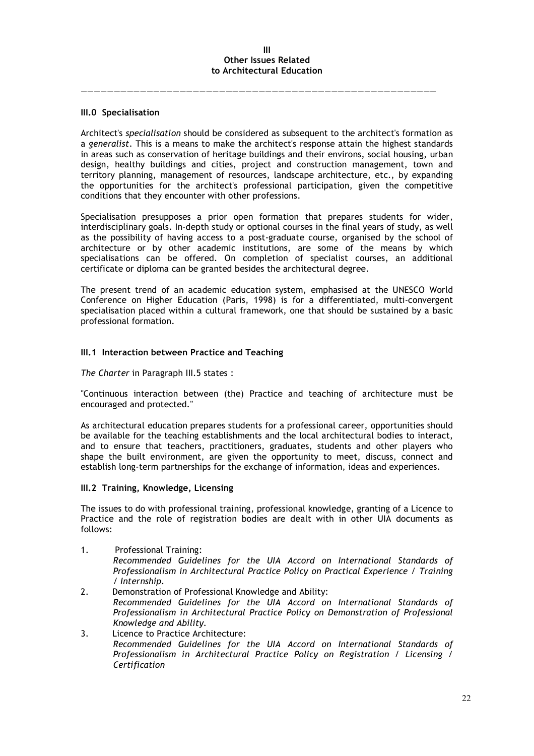#### **III Other Issues Related to Architectural Education**

——————————————————————————————————————————————————————

#### **III.0 Specialisation**

Architect's *specialisation* should be considered as subsequent to the architect's formation as a *generalist*. This is a means to make the architect's response attain the highest standards in areas such as conservation of heritage buildings and their environs, social housing, urban design, healthy buildings and cities, project and construction management, town and territory planning, management of resources, landscape architecture, etc., by expanding the opportunities for the architect's professional participation, given the competitive conditions that they encounter with other professions.

Specialisation presupposes a prior open formation that prepares students for wider, interdisciplinary goals. In-depth study or optional courses in the final years of study, as well as the possibility of having access to a post-graduate course, organised by the school of architecture or by other academic institutions, are some of the means by which specialisations can be offered. On completion of specialist courses, an additional certificate or diploma can be granted besides the architectural degree.

The present trend of an academic education system, emphasised at the UNESCO World Conference on Higher Education (Paris, 1998) is for a differentiated, multi-convergent specialisation placed within a cultural framework, one that should be sustained by a basic professional formation.

#### **III.1 Interaction between Practice and Teaching**

*The Charter* in Paragraph III.5 states :

"Continuous interaction between (the) Practice and teaching of architecture must be encouraged and protected."

As architectural education prepares students for a professional career, opportunities should be available for the teaching establishments and the local architectural bodies to interact, and to ensure that teachers, practitioners, graduates, students and other players who shape the built environment, are given the opportunity to meet, discuss, connect and establish long-term partnerships for the exchange of information, ideas and experiences.

#### **III.2 Training, Knowledge, Licensing**

The issues to do with professional training, professional knowledge, granting of a Licence to Practice and the role of registration bodies are dealt with in other UIA documents as follows:

- 1. Professional Training: *Recommended Guidelines for the UIA Accord on International Standards of Professionalism in Architectural Practice Policy on Practical Experience / Training / Internship.*
- 2. Demonstration of Professional Knowledge and Ability: *Recommended Guidelines for the UIA Accord on International Standards of Professionalism in Architectural Practice Policy on Demonstration of Professional Knowledge and Ability.*
- 3. Licence to Practice Architecture: *Recommended Guidelines for the UIA Accord on International Standards of Professionalism in Architectural Practice Policy on Registration / Licensing / Certification*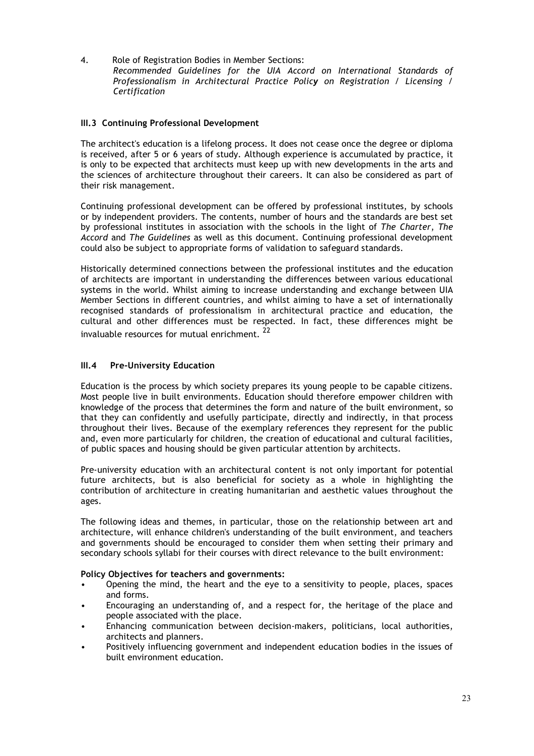4. Role of Registration Bodies in Member Sections: *Recommended Guidelines for the UIA Accord on International Standards of Professionalism in Architectural Practice Policy on Registration / Licensing / Certification*

# **III.3 Continuing Professional Development**

The architect's education is a lifelong process. It does not cease once the degree or diploma is received, after 5 or 6 years of study. Although experience is accumulated by practice, it is only to be expected that architects must keep up with new developments in the arts and the sciences of architecture throughout their careers. It can also be considered as part of their risk management.

Continuing professional development can be offered by professional institutes, by schools or by independent providers. The contents, number of hours and the standards are best set by professional institutes in association with the schools in the light of *The Charter*, *The Accord* and *The Guidelines* as well as this document. Continuing professional development could also be subject to appropriate forms of validation to safeguard standards.

Historically determined connections between the professional institutes and the education of architects are important in understanding the differences between various educational systems in the world. Whilst aiming to increase understanding and exchange between UIA Member Sections in different countries, and whilst aiming to have a set of internationally recognised standards of professionalism in architectural practice and education, the cultural and other differences must be respected. In fact, these differences might be invaluable resources for mutual enrichment. <sup>22</sup>

# **III.4 Pre-University Education**

Education is the process by which society prepares its young people to be capable citizens. Most people live in built environments. Education should therefore empower children with knowledge of the process that determines the form and nature of the built environment, so that they can confidently and usefully participate, directly and indirectly, in that process throughout their lives. Because of the exemplary references they represent for the public and, even more particularly for children, the creation of educational and cultural facilities, of public spaces and housing should be given particular attention by architects.

Pre-university education with an architectural content is not only important for potential future architects, but is also beneficial for society as a whole in highlighting the contribution of architecture in creating humanitarian and aesthetic values throughout the ages.

The following ideas and themes, in particular, those on the relationship between art and architecture, will enhance children's understanding of the built environment, and teachers and governments should be encouraged to consider them when setting their primary and secondary schools syllabi for their courses with direct relevance to the built environment:

# **Policy Objectives for teachers and governments:**

- Opening the mind, the heart and the eye to a sensitivity to people, places, spaces and forms.
- Encouraging an understanding of, and a respect for, the heritage of the place and people associated with the place.
- Enhancing communication between decision-makers, politicians, local authorities, architects and planners.
- Positively influencing government and independent education bodies in the issues of built environment education.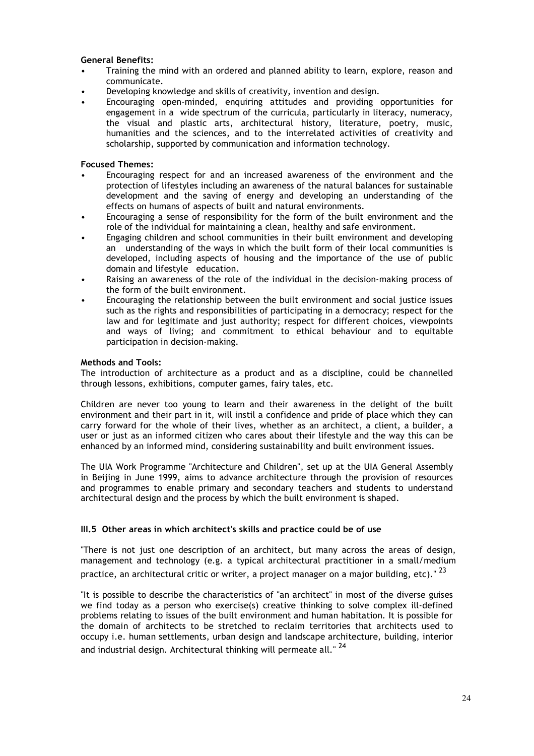#### **General Benefits:**

- Training the mind with an ordered and planned ability to learn, explore, reason and communicate.
- Developing knowledge and skills of creativity, invention and design.
- Encouraging open-minded, enquiring attitudes and providing opportunities for engagement in a wide spectrum of the curricula, particularly in literacy, numeracy, the visual and plastic arts, architectural history, literature, poetry, music, humanities and the sciences, and to the interrelated activities of creativity and scholarship, supported by communication and information technology.

#### **Focused Themes:**

- Encouraging respect for and an increased awareness of the environment and the protection of lifestyles including an awareness of the natural balances for sustainable development and the saving of energy and developing an understanding of the effects on humans of aspects of built and natural environments.
- Encouraging a sense of responsibility for the form of the built environment and the role of the individual for maintaining a clean, healthy and safe environment.
- Engaging children and school communities in their built environment and developing an understanding of the ways in which the built form of their local communities is developed, including aspects of housing and the importance of the use of public domain and lifestyle education.
- Raising an awareness of the role of the individual in the decision-making process of the form of the built environment.
- Encouraging the relationship between the built environment and social justice issues such as the rights and responsibilities of participating in a democracy; respect for the law and for legitimate and just authority; respect for different choices, viewpoints and ways of living; and commitment to ethical behaviour and to equitable participation in decision-making.

#### **Methods and Tools:**

The introduction of architecture as a product and as a discipline, could be channelled through lessons, exhibitions, computer games, fairy tales, etc.

Children are never too young to learn and their awareness in the delight of the built environment and their part in it, will instil a confidence and pride of place which they can carry forward for the whole of their lives, whether as an architect, a client, a builder, a user or just as an informed citizen who cares about their lifestyle and the way this can be enhanced by an informed mind, considering sustainability and built environment issues.

The UIA Work Programme "Architecture and Children", set up at the UIA General Assembly in Beijing in June 1999, aims to advance architecture through the provision of resources and programmes to enable primary and secondary teachers and students to understand architectural design and the process by which the built environment is shaped.

# **III.5 Other areas in which architect's skills and practice could be of use**

"There is not just one description of an architect, but many across the areas of design, management and technology (e.g. a typical architectural practitioner in a small/medium practice, an architectural critic or writer, a project manager on a major building, etc)."  $^{23}$ 

"It is possible to describe the characteristics of "an architect" in most of the diverse guises we find today as a person who exercise(s) creative thinking to solve complex ill-defined problems relating to issues of the built environment and human habitation. It is possible for the domain of architects to be stretched to reclaim territories that architects used to occupy i.e. human settlements, urban design and landscape architecture, building, interior and industrial design. Architectural thinking will permeate all."<sup>24</sup>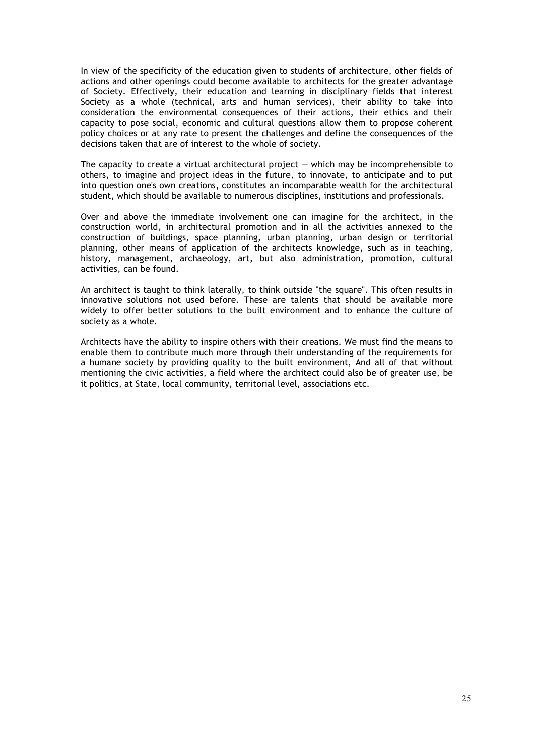In view of the specificity of the education given to students of architecture, other fields of actions and other openings could become available to architects for the greater advantage of Society. Effectively, their education and learning in disciplinary fields that interest Society as a whole (technical, arts and human services), their ability to take into consideration the environmental consequences of their actions, their ethics and their capacity to pose social, economic and cultural questions allow them to propose coherent policy choices or at any rate to present the challenges and define the consequences of the decisions taken that are of interest to the whole of society.

The capacity to create a virtual architectural project  $-$  which may be incomprehensible to others, to imagine and project ideas in the future, to innovate, to anticipate and to put into question one's own creations, constitutes an incomparable wealth for the architectural student, which should be available to numerous disciplines, institutions and professionals.

Over and above the immediate involvement one can imagine for the architect, in the construction world, in architectural promotion and in all the activities annexed to the construction of buildings, space planning, urban planning, urban design or territorial planning, other means of application of the architects knowledge, such as in teaching, history, management, archaeology, art, but also administration, promotion, cultural activities, can be found.

An architect is taught to think laterally, to think outside "the square". This often results in innovative solutions not used before. These are talents that should be available more widely to offer better solutions to the built environment and to enhance the culture of society as a whole.

Architects have the ability to inspire others with their creations. We must find the means to enable them to contribute much more through their understanding of the requirements for a humane society by providing quality to the built environment, And all of that without mentioning the civic activities, a field where the architect could also be of greater use, be it politics, at State, local community, territorial level, associations etc.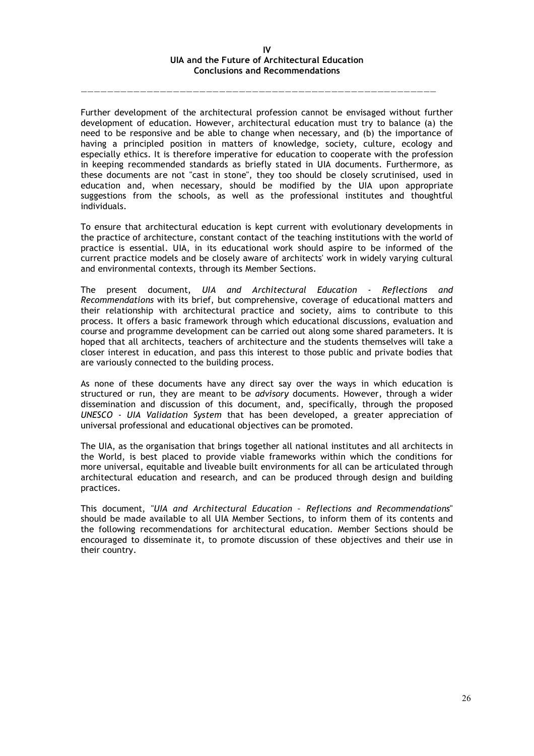#### **IV UIA and the Future of Architectural Education Conclusions and Recommendations**

——————————————————————————————————————————————————————

Further development of the architectural profession cannot be envisaged without further development of education. However, architectural education must try to balance (a) the need to be responsive and be able to change when necessary, and (b) the importance of having a principled position in matters of knowledge, society, culture, ecology and especially ethics. It is therefore imperative for education to cooperate with the profession in keeping recommended standards as briefly stated in UIA documents. Furthermore, as these documents are not "cast in stone", they too should be closely scrutinised, used in education and, when necessary, should be modified by the UIA upon appropriate suggestions from the schools, as well as the professional institutes and thoughtful individuals.

To ensure that architectural education is kept current with evolutionary developments in the practice of architecture, constant contact of the teaching institutions with the world of practice is essential. UIA, in its educational work should aspire to be informed of the current practice models and be closely aware of architects' work in widely varying cultural and environmental contexts, through its Member Sections.

The present document, *UIA and Architectural Education - Reflections and Recommendations* with its brief, but comprehensive, coverage of educational matters and their relationship with architectural practice and society, aims to contribute to this process. It offers a basic framework through which educational discussions, evaluation and course and programme development can be carried out along some shared parameters. It is hoped that all architects, teachers of architecture and the students themselves will take a closer interest in education, and pass this interest to those public and private bodies that are variously connected to the building process.

As none of these documents have any direct say over the ways in which education is structured or run, they are meant to be *advisory* documents. However, through a wider dissemination and discussion of this document, and, specifically, through the proposed *UNESCO - UIA Validation System* that has been developed, a greater appreciation of universal professional and educational objectives can be promoted.

The UIA, as the organisation that brings together all national institutes and all architects in the World, is best placed to provide viable frameworks within which the conditions for more universal, equitable and liveable built environments for all can be articulated through architectural education and research, and can be produced through design and building practices.

This document, "*UIA and Architectural Education – Reflections and Recommendations*" should be made available to all UIA Member Sections, to inform them of its contents and the following recommendations for architectural education. Member Sections should be encouraged to disseminate it, to promote discussion of these objectives and their use in their country.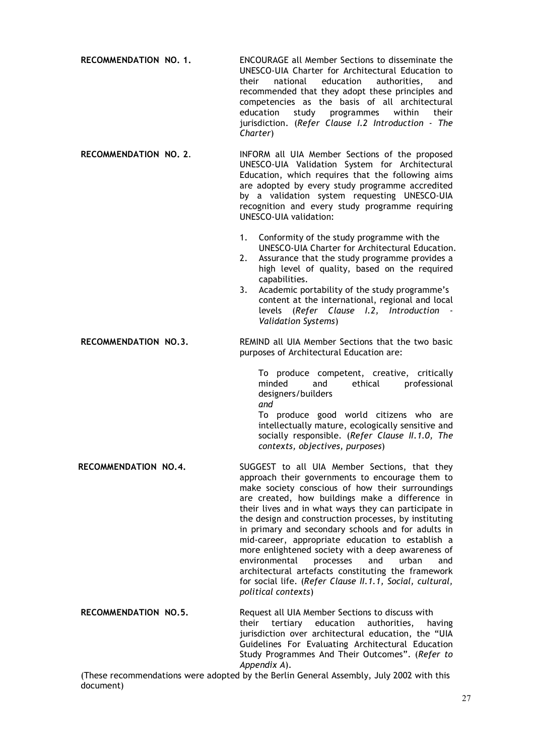**RECOMMENDATION NO. 1.** ENCOURAGE all Member Sections to disseminate the UNESCO-UIA Charter for Architectural Education to their national education authorities, and recommended that they adopt these principles and competencies as the basis of all architectural education study programmes within their jurisdiction. (*Refer Clause I.2 Introduction - The Charter*)

**RECOMMENDATION NO. 2**. INFORM all UIA Member Sections of the proposed UNESCO-UIA Validation System for Architectural Education, which requires that the following aims are adopted by every study programme accredited by a validation system requesting UNESCO-UIA recognition and every study programme requiring UNESCO-UIA validation:

- 1. Conformity of the study programme with the UNESCO-UIA Charter for Architectural Education.
- 2. Assurance that the study programme provides a high level of quality, based on the required capabilities.
- 3. Academic portability of the study programme's content at the international, regional and local levels (*Refer Clause I.2, Introduction - Validation Systems*)

**RECOMMENDATION NO.3.** REMIND all UIA Member Sections that the two basic purposes of Architectural Education are:

> To produce competent, creative, critically minded and ethical professional designers/builders *and*

> To produce good world citizens who are intellectually mature, ecologically sensitive and socially responsible. (*Refer Clause II.1.0, The contexts, objectives, purposes*)

**RECOMMENDATION NO.4.** SUGGEST to all UIA Member Sections, that they approach their governments to encourage them to make society conscious of how their surroundings are created, how buildings make a difference in their lives and in what ways they can participate in the design and construction processes, by instituting in primary and secondary schools and for adults in mid-career, appropriate education to establish a more enlightened society with a deep awareness of environmental processes and urban and architectural artefacts constituting the framework for social life. (*Refer Clause II.1.1, Social, cultural, political contexts*)

**RECOMMENDATION NO.5.** Request all UIA Member Sections to discuss with their tertiary education authorities, having jurisdiction over architectural education, the "UIA Guidelines For Evaluating Architectural Education Study Programmes And Their Outcomes". (*Refer to Appendix A*).

(These recommendations were adopted by the Berlin General Assembly, July 2002 with this document)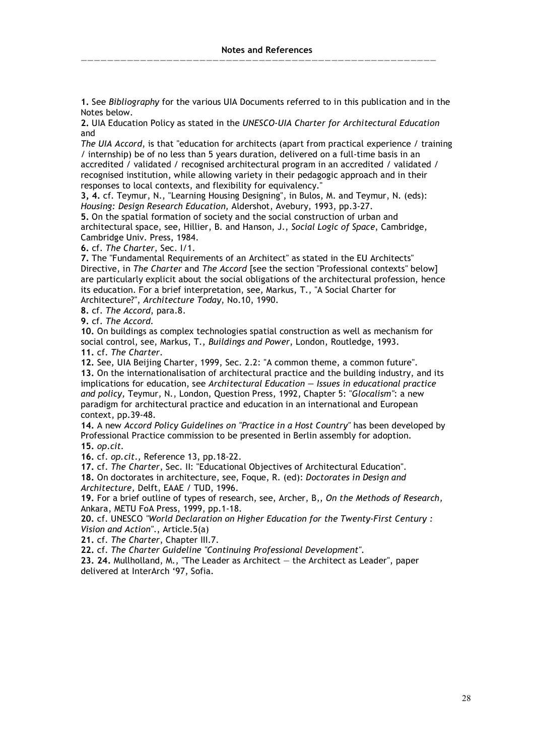——————————————————————————————————————————————————————

**1.** See *Bibliography* for the various UIA Documents referred to in this publication and in the Notes below.

**2.** UIA Education Policy as stated in the *UNESCO-UIA Charter for Architectural Education* and

*The UIA Accord*, is that "education for architects (apart from practical experience / training / internship) be of no less than 5 years duration, delivered on a full-time basis in an accredited / validated / recognised architectural program in an accredited / validated / recognised institution, while allowing variety in their pedagogic approach and in their responses to local contexts, and flexibility for equivalency."

**3, 4.** cf. Teymur, N., "Learning Housing Designing", in Bulos, M. and Teymur, N. (eds): *Housing: Design Research Education,* Aldershot, Avebury, 1993, pp.3-27.

**5.** On the spatial formation of society and the social construction of urban and architectural space, see, Hillier, B. and Hanson, J., *Social Logic of Space*, Cambridge, Cambridge Univ. Press, 1984.

**6.** cf. *The Charter*, Sec. I/1.

**7.** The "Fundamental Requirements of an Architect" as stated in the EU Architects" Directive, in *The Charter* and *The Accord* [see the section "Professional contexts" below] are particularly explicit about the social obligations of the architectural profession, hence its education. For a brief interpretation, see, Markus, T., "A Social Charter for Architecture?", *Architecture Today*, No.10, 1990.

**8.** cf. *The Accord*, para.8.

**9.** cf. *The Accord.*

**10.** On buildings as complex technologies spatial construction as well as mechanism for social control, see, Markus, T., *Buildings and Power*, London, Routledge, 1993.

**11.** cf. *The Charter.*

**12.** See, UIA Beijing Charter, 1999, Sec. 2.2: "A common theme, a common future".

**13.** On the internationalisation of architectural practice and the building industry, and its implications for education, see *Architectural Education — Issues in educational practice and policy,* Teymur, N., London, Question Press, 1992, Chapter 5: "*Glocalism"*: a new paradigm for architectural practice and education in an international and European context, pp.39-48.

**14.** A new *Accord Policy Guidelines on "Practice in a Host Country"* has been developed by Professional Practice commission to be presented in Berlin assembly for adoption. **15.** *op.cit.*

**16.** cf. *op.cit*., Reference 13, pp.18-22.

**17.** cf. *The Charter*, Sec. II: "Educational Objectives of Architectural Education". **18.** On doctorates in architecture, see, Foque, R. (ed): *Doctorates in Design and Architecture,* Delft, EAAE / TUD, 1996.

**19.** For a brief outline of types of research, see, Archer, B,, *On the Methods of Research,* Ankara, METU FoA Press, 1999, pp.1-18.

**20.** cf. UNESCO *"World Declaration on Higher Education for the Twenty-First Century : Vision and Action"*., Article.5(a)

**21.** cf. *The Charter*, Chapter III.7.

**22.** cf. *The Charter Guideline "Continuing Professional Development".*

**23. 24.** Mullholland, M., "The Leader as Architect — the Architect as Leader", paper delivered at InterArch '97, Sofia.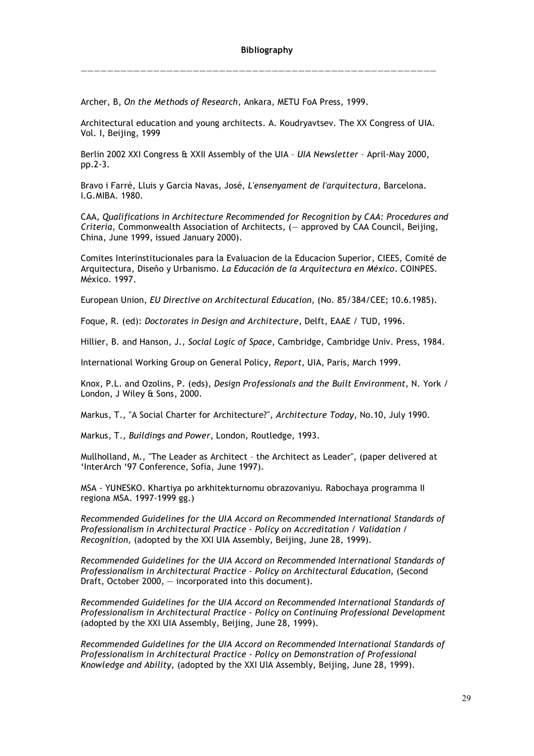Archer, B, *On the Methods of Research,* Ankara, METU FoA Press, 1999.

Architectural education and young architects. A. Koudryavtsev. The XX Congress of UIA. Vol. I, Beijing, 1999

——————————————————————————————————————————————————————

Berlin 2002 XXI Congress & XXII Assembly of the UIA – *UIA Newsletter* – April-May 2000, pp.2-3.

Bravo i Farré, Lluis y Garcia Navas, José, *L'ensenyament de l'arquitectura,* Barcelona. I.G.MIBA. 1980.

CAA, *Qualifications in Architecture Recommended for Recognition by CAA: Procedures and Criteria,* Commonwealth Association of Architects, (— approved by CAA Council, Beijing, China, June 1999, issued January 2000).

Comites Interinstitucionales para la Evaluacion de la Educacion Superior, CIEES, Comité de Arquitectura, Diseño y Urbanismo. *La Educación de la Arquitectura en México*. COINPES. México. 1997.

European Union, *EU Directive on Architectural Education,* (No. 85/384/CEE; 10.6.1985).

Foque, R. (ed): *Doctorates in Design and Architecture,* Delft, EAAE / TUD, 1996.

Hillier, B. and Hanson, J., *Social Logic of Space*, Cambridge, Cambridge Univ. Press, 1984.

International Working Group on General Policy, *Report*, UIA, Paris, March 1999.

Knox, P.L. and Ozolins, P. (eds), *Design Professionals and the Built Environment*, N. York / London, J Wiley & Sons, 2000.

Markus, T., "A Social Charter for Architecture?", *Architecture Today*, No.10, July 1990.

Markus, T., *Buildings and Power*, London, Routledge, 1993.

Mullholland, M., "The Leader as Architect – the Architect as Leader", (paper delivered at 'InterArch '97 Conference, Sofia, June 1997).

MSA - YUNESKO. Khartiya po arkhitekturnomu obrazovaniyu. Rabochaya programma II regiona MSA. 1997-1999 gg.)

*Recommended Guidelines for the UIA Accord on Recommended International Standards of Professionalism in Architectural Practice - Policy on Accreditation / Validation / Recognition,* (adopted by the XXI UIA Assembly, Beijing, June 28, 1999).

*Recommended Guidelines for the UIA Accord on Recommended International Standards of Professionalism in Architectural Practice - Policy on Architectural Education*, (Second Draft, October 2000, — incorporated into this document).

*Recommended Guidelines for the UIA Accord on Recommended International Standards of Professionalism in Architectural Practice - Policy on Continuing Professional Development* (adopted by the XXI UIA Assembly, Beijing, June 28, 1999).

*Recommended Guidelines for the UIA Accord on Recommended International Standards of Professionalism in Architectural Practice - Policy on Demonstration of Professional Knowledge and Ability,* (adopted by the XXI UIA Assembly, Beijing, June 28, 1999).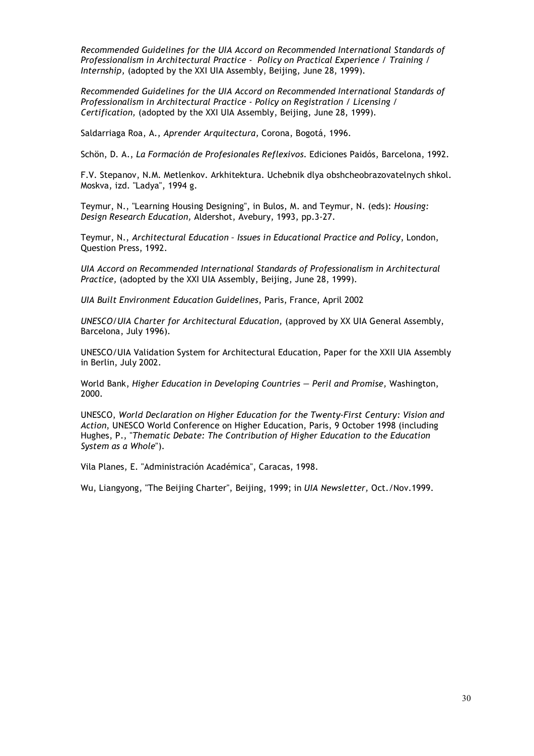*Recommended Guidelines for the UIA Accord on Recommended International Standards of Professionalism in Architectural Practice - Policy on Practical Experience / Training / Internship,* (adopted by the XXI UIA Assembly, Beijing, June 28, 1999).

*Recommended Guidelines for the UIA Accord on Recommended International Standards of Professionalism in Architectural Practice - Policy on Registration / Licensing / Certification,* (adopted by the XXI UIA Assembly, Beijing, June 28, 1999).

Saldarriaga Roa, A., *Aprender Arquitectura,* Corona, Bogotá, 1996.

Schön, D. A., *La Formación de Profesionales Reflexivos.* Ediciones Paidós, Barcelona, 1992.

F.V. Stepanov, N.M. Metlenkov. Arkhitektura. Uchebnik dlya obshcheobrazovatelnych shkol. Moskva, izd. "Ladya", 1994 g.

Teymur, N., "Learning Housing Designing", in Bulos, M. and Teymur, N. (eds): *Housing: Design Research Education,* Aldershot, Avebury, 1993, pp.3-27.

Teymur, N., *Architectural Education – Issues in Educational Practice and Policy*, London, Question Press, 1992.

*UIA Accord on Recommended International Standards of Professionalism in Architectural Practice,* (adopted by the XXI UIA Assembly, Beijing, June 28, 1999).

*UIA Built Environment Education Guidelines*, Paris, France, April 2002

*UNESCO/UIA Charter for Architectural Education,* (approved by XX UIA General Assembly, Barcelona, July 1996).

UNESCO/UIA Validation System for Architectural Education, Paper for the XXII UIA Assembly in Berlin, July 2002.

World Bank, *Higher Education in Developing Countries — Peril and Promise,* Washington, 2000.

UNESCO, *World Declaration on Higher Education for the Twenty-First Century: Vision and Action*, UNESCO World Conference on Higher Education, Paris, 9 October 1998 (including Hughes, P., "*Thematic Debate: The Contribution of Higher Education to the Education System as a Whole*").

Vila Planes, E. "Administración Académica", Caracas, 1998.

Wu, Liangyong, "The Beijing Charter", Beijing, 1999; in *UIA Newsletter,* Oct./Nov.1999.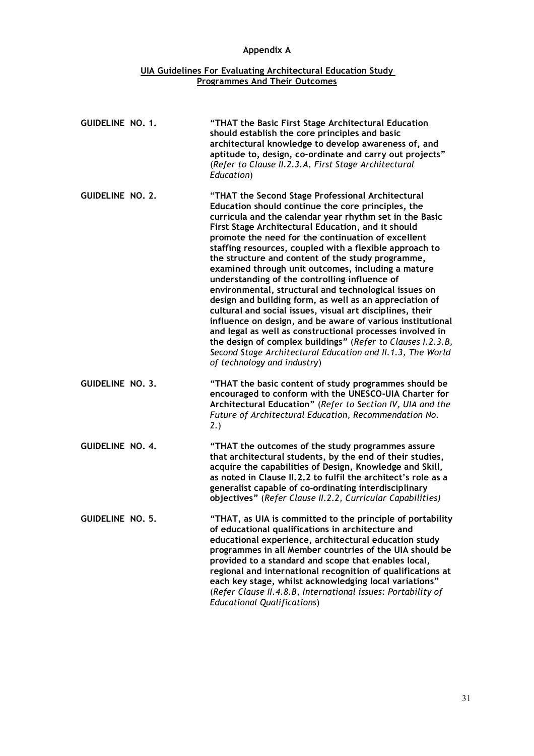# **Appendix A**

#### **UIA Guidelines For Evaluating Architectural Education Study Programmes And Their Outcomes**

| GUIDELINE NO. 1.        | "THAT the Basic First Stage Architectural Education<br>should establish the core principles and basic<br>architectural knowledge to develop awareness of, and<br>aptitude to, design, co-ordinate and carry out projects"<br>(Refer to Clause II.2.3.A, First Stage Architectural<br>Education)                                                                                                                                                                                                                                                                                                                                                                                                                                                                                                                                                                                                                                                                               |
|-------------------------|-------------------------------------------------------------------------------------------------------------------------------------------------------------------------------------------------------------------------------------------------------------------------------------------------------------------------------------------------------------------------------------------------------------------------------------------------------------------------------------------------------------------------------------------------------------------------------------------------------------------------------------------------------------------------------------------------------------------------------------------------------------------------------------------------------------------------------------------------------------------------------------------------------------------------------------------------------------------------------|
| <b>GUIDELINE NO. 2.</b> | "THAT the Second Stage Professional Architectural<br>Education should continue the core principles, the<br>curricula and the calendar year rhythm set in the Basic<br>First Stage Architectural Education, and it should<br>promote the need for the continuation of excellent<br>staffing resources, coupled with a flexible approach to<br>the structure and content of the study programme,<br>examined through unit outcomes, including a mature<br>understanding of the controlling influence of<br>environmental, structural and technological issues on<br>design and building form, as well as an appreciation of<br>cultural and social issues, visual art disciplines, their<br>influence on design, and be aware of various institutional<br>and legal as well as constructional processes involved in<br>the design of complex buildings" (Refer to Clauses I.2.3.B,<br>Second Stage Architectural Education and II.1.3, The World<br>of technology and industry) |
| <b>GUIDELINE NO. 3.</b> | "THAT the basic content of study programmes should be<br>encouraged to conform with the UNESCO-UIA Charter for<br>Architectural Education" (Refer to Section IV, UIA and the<br>Future of Architectural Education, Recommendation No.<br>2.)                                                                                                                                                                                                                                                                                                                                                                                                                                                                                                                                                                                                                                                                                                                                  |
| <b>GUIDELINE NO. 4.</b> | "THAT the outcomes of the study programmes assure<br>that architectural students, by the end of their studies,<br>acquire the capabilities of Design, Knowledge and Skill,<br>as noted in Clause II.2.2 to fulfil the architect's role as a<br>generalist capable of co-ordinating interdisciplinary<br>objectives" (Refer Clause II.2.2, Curricular Capabilities)                                                                                                                                                                                                                                                                                                                                                                                                                                                                                                                                                                                                            |
| GUIDELINE NO. 5.        | "THAT, as UIA is committed to the principle of portability<br>of educational qualifications in architecture and<br>educational experience, architectural education study<br>programmes in all Member countries of the UIA should be<br>provided to a standard and scope that enables local,<br>regional and international recognition of qualifications at<br>each key stage, whilst acknowledging local variations"<br>(Refer Clause II.4.8.B, International issues: Portability of<br><b>Educational Qualifications)</b>                                                                                                                                                                                                                                                                                                                                                                                                                                                    |